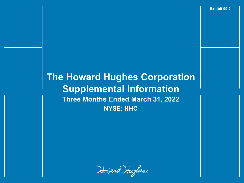**Exhibit 99.2**

# **The Howard Hughes Corporation Supplemental Information Three Months Ended March 31, 2022 NYSE: HHC**

Howard Hughes.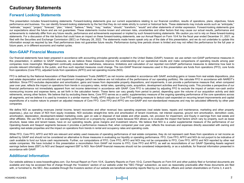#### **Cautionary Statements Cautionary Statements**

#### **Forward Looking Statements**

This presentation includes forward-looking statements. Forward-looking statements give our current expectations relating to our financial condition, results of operations, plans, objectives, future performance and business. You can identify forward-looking statements by the fact that they do not relate strictly to current or historical facts. These statements may include words such as "anticipate," "estimate," "expect," "project," "forecast," "plan," "intend," "believe," "likely," "may," "realize," "should," "transform," "would" and other statements of similar expression. Forward-looking statements give our expectations about the future and are not guarantees. These statements involve known and unknown risks, uncertainties and other factors that may cause our actual results, performance and achievements to materially differ from any future results, performance and achievements expressed or implied by such forward-looking statements. We caution you not to rely on these forward-looking statements. For a discussion of the risk factors that could have an impact on these forward-looking statements, see our Annual Report on Form 10-K for the fiscal year ended December 31, 2021, as filed with the Securities and Exchange Commission (SEC) on February 28, 2022. The statements made herein speak only as of the date of this presentation, and we do not undertake to update this information except as required by law. Past performance does not guarantee future results. Performance during time periods shown is limited and may not reflect the performance for the full year or future years, or in different economic and market cycles.

#### **Non-GAAP Financial Measures**

Our financial statements have been prepared in accordance with accounting principles generally accepted in the United States (GAAP); however, we use certain non-GAAP performance measures in this presentation, in addition to GAAP measures, as we believe these measures improve the understanding of our operational results and make comparisons of operating results among peer companies more meaningful. Management continually evaluates the usefulness, relevance, limitations and calculation of our reported non-GAAP performance measures to determine how best to provide relevant information to the public, and thus such reported measures could change. The non-GAAP financial measures used in this presentation are funds from operations (FFO), core funds from operations (Core FFO), adjusted funds from operations (AFFO) and net operating income (NOI).

FFO is defined by the National Association of Real Estate Investment Trusts (NAREIT) as net income calculated in accordance with GAAP, excluding gains or losses from real estate dispositions, plus real estate depreciation and amortization and impairment charges (which we believe are not indicative of the performance of our operating portfolio). We calculate FFO in accordance with NAREIT's definition. Since FFO excludes depreciation and amortization, gains and losses from depreciable property dispositions, and impairments, it can provide a performance measure that, when compared year over year, reflects the impact on operations from trends in occupancy rates, rental rates, operating costs, acquisition, development activities and financing costs. This provides a perspective of our financial performance not immediately apparent from net income determined in accordance with GAAP. Core FFO is calculated by adjusting FFO to exclude the impact of certain non-cash and/or nonrecurring income and expense items, as set forth in the calculation herein. These items can vary greatly from period to period, depending upon the volume of our acquisition activity and debt retirements, among other factors. We believe that by excluding these items, Core FFO serves as a useful, supplementary measure of the ongoing operating performance of the core operations across all segments, and we believe it is used by investors in a similar manner. Finally, AFFO adjusts our Core FFO operating measure to deduct cash expended on recurring tenant improvements and capital expenditures of a routine nature to present an adjusted measure of Core FFO. Core FFO and AFFO are non-GAAP and non-standardized measures and may be calculated differently by other peer companies.

We define NOI as operating revenues (rental income, tenant recoveries and other revenue) less operating expenses (real estate taxes, repairs and maintenance, marketing and other property expenses,), plus our share of NOI from equity investees. NOI excludes straight-line rents and amortization of tenant incentives, net interest expense, ground rent amortization, demolition costs, amortization, depreciation, development-related marketing costs, gain on sale or disposal of real estate and other assets, net, provision for impairment, and Equity in earnings from real estate and other affiliates. We use NOI to evaluate our operating performance on a property-by- property basis because NOI allows us to evaluate the impact that factors which vary by property, such as lease structure, lease rates and tenant bases, have on our operating results, gross margins and investment returns. We believe that NOI is a useful supplemental measure of the performance of our Operating Assets and Seaport segments because it provides a performance measure that, when compared year over year, reflects the revenues and expenses directly associated with owning and operating real estate properties and the impact on operations from trends in rental and occupancy rates and operating costs.

While FFO, Core FFO, AFFO and NOI are relevant and widely used measures of operating performance of real estate companies, they do not represent cash flows from operations or net income as defined by GAAP and should not be considered an alternative to those measures in evaluating our liquidity or operating performance. FFO, Core FFO, AFFO and NOI do not purport to be indicative of cash available to fund our future cash requirements. Further, our computations of FFO, Core FFO, AFFO and NOI may not be comparable to FFO, Core FFO, AFFO and NOI reported by other real estate companies. We have included in this presentation a reconciliation from GAAP net income to FFO, Core FFO and AFFO, as well as reconciliations of our GAAP Operating Assets segment earnings before taxes (EBT) to NOI and Seaport segment EBT to NOI. Non-GAAP financial measures should not be considered independently, or as a substitute, for financial information presented in accordance with GAAP.

#### **Additional Information**

Our website address is www.howardhughes.com. Our Annual Report on Form 10-K, Quarterly Reports on Form 10-Q, Current Reports on Form 8-K and other publicly filed or furnished documents are available and may be accessed free of charge through the "Investors" section of our website under the "SEC Filings" subsection, as soon as reasonably practicable after those documents are filed with, or furnished to, the SEC. Also available through the Investors section of our website are beneficial ownership reports filed by our directors, officers and certain shareholders on Forms 3, 4 and 5.

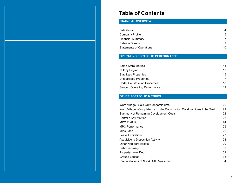#### **Table of Contents**

#### **FINANCIAL OVERVIEW**

| Definitions                     | 4  |
|---------------------------------|----|
| Company Profile                 | 5  |
| <b>Financial Summary</b>        |    |
| <b>Balance Sheets</b>           | 9  |
| <b>Statements of Operations</b> | 10 |
|                                 |    |

#### **OPERATING PORTFOLIO PERFORMANCE**

| Same Store Metrics                   | 11 |
|--------------------------------------|----|
| NOI by Region                        | 13 |
| <b>Stabilized Properties</b>         | 15 |
| Unstabilized Properties              | 17 |
| <b>Under Construction Properties</b> | 18 |
| <b>Seaport Operating Performance</b> | 19 |

#### **OTHER PORTFOLIO METRICS**

| Ward Village - Sold Out Condominiums                                   | 20 |
|------------------------------------------------------------------------|----|
| Ward Village - Completed or Under Construction Condominiums to be Sold | 21 |
| <b>Summary of Remaining Development Costs</b>                          | 22 |
| Portfolio Key Metrics                                                  | 23 |
| <b>MPC Portfolio</b>                                                   | 24 |
| MPC Performance                                                        | 25 |
| MPC Land                                                               | 26 |
| Lease Expirations                                                      | 27 |
| Acquisition / Disposition Activity                                     | 28 |
| Other/Non-core Assets                                                  | 29 |
| Debt Summary                                                           | 30 |
| Property-Level Debt                                                    | 31 |
| Ground Leases                                                          | 33 |
| Reconciliations of Non-GAAP Measures                                   | 34 |
|                                                                        |    |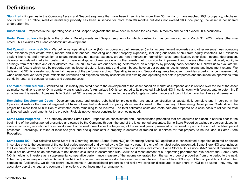### **Definitions Definitions**

**Stabilized** - Properties in the Operating Assets and Seaport segments that have been in service for more than 36 months or have reached 90% occupancy, whichever occurs first. If an office, retail or multifamily property has been in service for more than 36 months but does not exceed 90% occupancy, the asset is considered underperforming.

**Unstabilized** - Properties in the Operating Assets and Seaport segments that have been in service for less than 36 months and do not exceed 90% occupancy.

**Under Construction** - Projects in the Strategic Developments and Seaport segments for which construction has commenced as of March 31, 2022, unless otherwise noted. This excludes MPC and condominium development.

**Net Operating Income (NOI)** - We define net operating income (NOI) as operating cash revenues (rental income, tenant recoveries and other revenue) less operating cash expenses (real estate taxes, repairs and maintenance, marketing and other property expenses), including our share of NOI from equity investees. NOI excludes straight-line rents and amortization of tenant incentives, net interest expense, ground rent amortization, demolition costs, amortization, other (loss) income, depreciation, development-related marketing costs, gain on sale or disposal of real estate and other assets, net, provision for impairment and, unless otherwise indicated, equity in earnings from real estate and other affiliates. We use NOI to evaluate our operating performance on a property-by-property basis because NOI allows us to evaluate the impact that factors which vary by property, such as lease structure, lease rates and tenant bases, have on our operating results, gross margins and investment returns. We believe that NOI is a useful supplemental measure of the performance of our Operating Assets and Seaport segments because it provides a performance measure that, when compared year over year, reflects the revenues and expenses directly associated with owning and operating real estate properties and the impact on operations from trends in rental and occupancy rates and operating costs.

**Estimated Stabilized NOI -** Stabilized NOI is initially projected prior to the development of the asset based on market assumptions and is revised over the life of the asset as market conditions evolve. On a quarterly basis, each asset's Annualized NOI is compared to its projected Stabilized NOI in conjunction with forecast data to determine if an adjustment is needed. Adjustments to Stabilized NOI are made when changes to the asset's long-term performance are thought to be more than likely and permanent.

**Remaining Development Costs -** Development costs and related debt held for projects that are under construction or substantially complete and in service in the Operating Assets or the Seaport segment but have not reached stabilized occupancy status are disclosed on the Summary of Remaining Development Costs slide if the project has more than \$1.0 million of estimated costs remaining to be incurred. The total estimated costs and costs paid are prepared on a cash basis to reflect the total anticipated cash requirements for the projects. Projects not yet under construction are not included.

**Same Store Properties -** The Company defines Same Store Properties as consolidated and unconsolidated properties that are acquired or placed in-service prior to the beginning of the earliest period presented and owned by the Company through the end of the latest period presented. Same Store Properties exclude properties placed inservice, acquired, repositioned or in development or redevelopment after the beginning of the earliest period presented or disposed of prior to the end of the latest period presented. Accordingly, it takes at least one year and one quarter after a property is acquired or treated as in-service for that property to be included in Same Store Properties.

Same Store NOI - We calculate Same Store Net Operating Income (Same Store NOI) as Operating Assets NOI applicable to consolidated properties acquired or placed in-service prior to the beginning of the earliest period presented and owned by the Company through the end of the latest period presented. Same Store NOI also includes the Company's share of NOI of unconsolidated properties and the annual distribution from a cost basis investment. Same Store NOI is a non-GAAP financial measure and should not be viewed as an alternative to net income calculated in accordance with GAAP as a measurement of our operating performance. We believe that Same Store NOI is helpful to investors as a supplemental comparative performance measure of the income generated from the same group of properties from one period to the next. Other companies may not define Same Store NOI in the same manner as we do; therefore, our computation of Same Store NOI may not be comparable to that of other companies. Additionally, we do not control investments in unconsolidated properties and while we consider disclosures of our share of NOI to be useful, they may not accurately depict the legal and economic implications of our investment arrangements.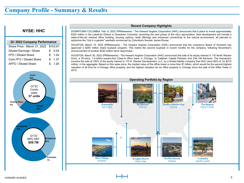#### **NYSE: HHC**

| Q1 2022 Company Performance           |     |      |  |  |  |  |  |  |  |  |  |
|---------------------------------------|-----|------|--|--|--|--|--|--|--|--|--|
| Share Price - March 31, 2022 \$103.61 |     |      |  |  |  |  |  |  |  |  |  |
| Diluted Earnings / Share              | \$. | 0.04 |  |  |  |  |  |  |  |  |  |
| FFO / Diluted Share                   | \$. | 1.04 |  |  |  |  |  |  |  |  |  |
| Core FFO / Diluted Share              | \$. | 1.37 |  |  |  |  |  |  |  |  |  |
| AFFO / Diluted Share                  |     | 1.26 |  |  |  |  |  |  |  |  |  |



#### **Recent Company Highlights**

DOWNTOWN COLUMBIA, Feb. 8, 2022 (PRNewswire) - The Howard Hughes Corporation (HHC) announced that it plans to invest approximately \$325 million in the Lakefront District in Downtown Columbia, launching the next phase of the city's rejuvenation. New development will include a state-of-the-art medical office building, housing options, retail offerings and enhanced connectivity to the natural environment, all planned to epitomize the "city in a garden" aesthetic envisioned by Columbia's founder James Rouse.

HOUSTON, March 15, 2022 (PRNewswire) - The Howard Hughes Corporation (HHC) announced that the company's Board of Directors has approved a \$250 million share buyback program. This marks the second buyback in recent months for the company, following November's announcement of another \$250 million stock repurchase.

HOUSTON, March 30, 2022 (PRNewswire) - The Howard Hughes Corporation (HHC) announced the sale of its equity interest in 110 North Wacker Drive, a 55-story, 1.5-million-square-foot Class-A office tower in Chicago, to Callahan Capital Partners and Oak Hill Advisors. The transaction involves the sale of 100% of the equity interest in 110 N. Wacker Development, LLC, by a limited liability company that HHC owns 90% of, for \$210 million, in the aggregate. Based on this sales price, the implied value of the office tower is more than \$1 billion, which would be the second-highest valuation of all time for a Chicago office property, and the highest valuation for an office property in Chicago since the sale of the Willis Tower in 2015.



**Company Profile - Summary & Results**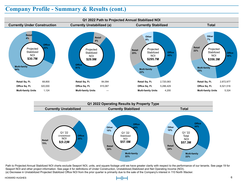#### **Company Profile - Summary & Results (cont.)**





Path to Projected Annual Stabilized NOI charts exclude Seaport NOI, units, and square footage until we have greater clarity with respect to the performance of our tenants. See page 19 for Seaport NOI and other project information. See page 4 for definitions of Under Construction, Unstabilized,Stabilized and Net Operating Income (NOI). (a) Decrease in Unstabilized Projected Stabilized Office NOI from the prior quarter is primarily due to the sale of the Company's interest in 110 North Wacker.

#### HOWARD HUGHES 6

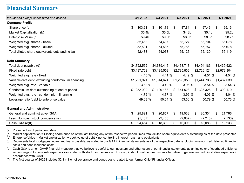#### **Financial Summary**

|                                                     | Q1 2022            | Q4 2021            |                | Q3 2021            | Q <sub>2</sub> 2021 | Q1 2021            |
|-----------------------------------------------------|--------------------|--------------------|----------------|--------------------|---------------------|--------------------|
| thousands except share price and billions           |                    |                    |                |                    |                     |                    |
| <b>Company Profile</b>                              |                    |                    |                |                    |                     |                    |
| Share price (a)                                     | \$<br>103.61       | \$<br>101.78       | \$             | 87.81              | \$<br>97.46         | \$<br>95.13        |
| Market Capitalization (b)                           | \$5.4 <sub>b</sub> | \$5.5 <sub>b</sub> |                | \$4.8 <sub>b</sub> | \$5.4 <sub>b</sub>  | \$5.2 <sub>b</sub> |
| Enterprise Value (c)                                | \$9.4 <sub>b</sub> | \$9.3 <sub>b</sub> |                | \$8.3 <sub>b</sub> | \$8.8b              | \$8.7 <sub>b</sub> |
| Weighted avg. shares - basic                        | 52,453             | 54,487             |                | 55,727             | 55,704              | 55,678             |
| Weighted avg. shares - diluted                      | 52,501             | 54,535             |                | 55,756             | 55,757              | 55,678             |
| Total diluted share equivalents outstanding (a)     | 52,433             | 54,068             |                | 55,126             | 55,130              | 55,119             |
| <b>Debt Summary</b>                                 |                    |                    |                |                    |                     |                    |
| Total debt payable (d)                              | \$4,722,552        | \$4,639,416        |                | \$4,468,713        | \$4,494,183         | \$4,439,522        |
| Fixed-rate debt                                     | \$3,197,722        | \$3,125,559        |                | \$2,795,832        | \$2,726,121         | \$2,672,304        |
| Weighted avg. rate - fixed                          | 4.40 %             | 4.41 %             |                | 4.49 %             | 4.51 %              | 4.54 %             |
| Variable-rate debt, excluding condominium financing | \$1.291.921        | \$1,314,674        |                | \$1,298,358        | \$1,444,733         | \$1,467,039        |
| Weighted avg. rate - variable                       | 3.58%              | 3.49%              |                | 3.95%              | 3.54%               | 3.54%              |
| Condominium debt outstanding at end of period       | 232.909            | \$<br>199,183      | $\mathfrak{S}$ | 374,523            | \$323,328           | \$<br>300,179      |
| Weighted avg. rate - condominium financing          | 4.79 %             | 4.77 %             |                | 3.99 %             | 4.06 %              | 4.04 %             |
| Leverage ratio (debt to enterprise value)           | 49.63 %            | 50.64 %            |                | 53.60 %            | 50.79 %             | 50.73 %            |
| <b>General and Administrative</b>                   |                    |                    |                |                    |                     |                    |
| General and administrative (G&A)                    | \$<br>25,891       | \$<br>20,857       | \$             | 19,033             | \$<br>20,334        | \$<br>21,766       |
| Less: Non-cash stock compensation                   | (1, 437)           | (2, 468)           |                | (2,637)            | (2, 248)            | (2, 533)           |
| Cash G&A (e)(f)                                     | \$<br>24,454       | \$<br>18,389       | \$             | 16,396             | \$<br>18,086        | \$<br>19,233       |

(a) Presented as of period end date.

(b) Market capitalization = Closing share price as of the last trading day of the respective period times total diluted share equivalents outstanding as of the date presented.

(c) Enterprise Value = Market capitalization + book value of debt + noncontrolling interest - cash and equivalents.

(d) Represents total mortgages, notes and loans payable, as stated in our GAAP financial statements as of the respective date, excluding unamortized deferred financing costs and bond issuance costs.

(e) Cash G&A is a non-GAAP financial measure that we believe is useful to our investors and other users of our financial statements as an indicator of overhead efficiency without regard to non-cash expenses associated with stock compensation. However, it should not be used as an alternative to general and administrative expenses in accordance with GAAP.

(f) The first quarter of 2022 includes \$2.3 million of severance and bonus costs related to our former Chief Financial Officer.

**Financial Summary**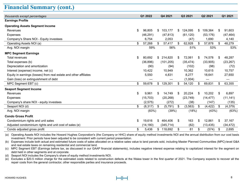#### **Financial Summary (cont.)**

| thousands except percentages                                      | Q1 2022 |           |     | Q4 2021    |    | Q3 2021   |    | Q2 2021   | Q1 2021 |           |  |
|-------------------------------------------------------------------|---------|-----------|-----|------------|----|-----------|----|-----------|---------|-----------|--|
| <b>Earnings Profile</b>                                           |         |           |     |            |    |           |    |           |         |           |  |
| <b>Operating Assets Segment Income</b>                            |         |           |     |            |    |           |    |           |         |           |  |
| Revenues                                                          | \$      | 96,805    | \$  | 103,177    | \$ | 124,095   | \$ | 109,364   | \$      | 91,603    |  |
| <b>Expenses</b>                                                   |         | (46, 291) |     | (47, 813)  |    | (61, 120) |    | (53, 176) |         | (47, 464) |  |
| Company's Share NOI - Equity investees                            |         | 6.754     |     | 2,053      |    | (47)      |    | 1,690     |         | 4,140     |  |
| Operating Assets NOI (a)                                          | \$      | 57,268    | \$  | 57,417     | \$ | 62,928    | S  | 57,878    | \$      | 48,279    |  |
| Avg. NOI margin                                                   |         | 59%       | 56% |            |    | 51%       |    | 53%       |         | 53%       |  |
| <b>MPC Segment Earnings</b>                                       |         |           |     |            |    |           |    |           |         |           |  |
| Total revenues                                                    | \$      | 80,692    | \$  | 214,820    | \$ | 72,061    | \$ | 74,578    | S       | 48,287    |  |
| Total expenses (b)                                                |         | (36, 896) |     | (101, 205) |    | (35, 474) |    | (33,905)  |         | (23, 267) |  |
| Depreciation and amortization                                     |         | (90)      |     | (94)       |    | (102)     |    | (98)      |         | (72)      |  |
| Interest (expense) income, net (c)                                |         | 10,422    |     | 10,949     |    | 10,362    |    | 10,615    |         | 10,757    |  |
| Equity in earnings (losses) from real estate and other affiliates |         | 5,550     |     | 4,831      |    | 8,277     |    | 18,641    |         | 27,650    |  |
| Gain (loss) on extinguishment of debt                             |         |           |     |            |    | (1,004)   |    |           |         |           |  |
| MPC Segment EBT (c)                                               | \$      | 59,678    | \$  | 129,301    | \$ | 54,120    | \$ | 69,831    | \$      | 63,355    |  |
| <b>Seaport Segment Income</b>                                     |         |           |     |            |    |           |    |           |         |           |  |
| Revenues                                                          | \$      | 9,961     | \$  | 14,749     | S  | 20,224    | \$ | 10,202    | \$      | 6,897     |  |
| Expenses                                                          |         | (15, 703) |     | (20, 268)  |    | (23, 749) |    | (14, 477) |         | (11, 141) |  |
| Company's share NOI - equity investees                            |         | (2, 575)  |     | (272)      |    | (38)      |    | (147)     |         | (135)     |  |
| Seaport NOI (d)                                                   | \$      | (8,317)   | \$  | (5,791)    | \$ | (3, 563)  | S  | (4, 422)  | \$      | (4,379)   |  |
| Avg. NOI margin                                                   |         | (83%)     |     | (39%)      |    | (18%)     |    | (43%)     |         | (63%)     |  |
| <b>Condo Gross Profit</b>                                         |         |           |     |            |    |           |    |           |         |           |  |
| Condominium rights and unit sales                                 | \$      | 19,616    | \$  | 464,406    | \$ | 163       | S  | 12,861    | S       | 37,167    |  |
| Adjusted condominium rights and unit cost of sales (e)            |         | (14, 180) |     | (345, 714) |    | (82)      |    | (13, 435) |         | (34, 472) |  |
| Condo adjusted gross profit                                       | \$      | 5,436     |     | \$118,692  | \$ | 81        | \$ | (574)     | \$      | 2,695     |  |

(a) Operating Assets NOI includes the Howard Hughes Corporation's (the Company or HHC) share of equity method investments NOI and the annual distribution from our cost basis investment. Prior periods have been adjusted to be consistent with current period presentation.

(b) Expenses include both actual and estimated future costs of sales allocated on a relative sales value to land parcels sold, including Master Planned Communities (MPC)-level G&A and real estate taxes on remaining residential and commercial land.

(c) MPC Segment EBT (Earnings before tax, as discussed in our GAAP financial statements), includes negative interest expense relating to capitalized interest for the segment on debt held in other segments and at corporate.

(d) Seaport NOI includes the Company's share of equity method investments NOI.

(e) Excludes a \$20.5 million charge for the estimated costs related to construction defects at the Waiea tower in the first quarter of 2021. The Company expects to recover all the repair costs from the general contractor, other responsible parties and insurance proceeds.

**Financial Summary**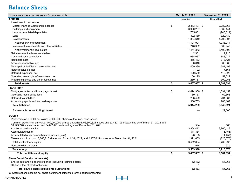## **Balance Sheets**

| thousands except par values and share amounts                                                                                        | March 31, 2022     | December 31, 2021 |
|--------------------------------------------------------------------------------------------------------------------------------------|--------------------|-------------------|
| <b>ASSETS</b>                                                                                                                        | Unaudited          | Unaudited         |
| Investment in real estate:                                                                                                           |                    |                   |
| <b>Master Planned Communities assets</b>                                                                                             | \$<br>2,313,497 \$ | 2,282,768         |
| Buildings and equipment                                                                                                              | 3,990,267          | 3,962,441         |
| Less: accumulated depreciation                                                                                                       | (785, 831)         | (743, 311)        |
| Land                                                                                                                                 | 322,439            | 322,439           |
| Developments                                                                                                                         | 1,354,619          | 1,208,907         |
| Net property and equipment                                                                                                           | 7,194,991          | 7.033.244         |
| Investment in real estate and other affiliates                                                                                       | 246,362            | 369,949           |
| Net investment in real estate                                                                                                        | 7,441,353          | 7,403,193         |
| Net investment in lease receivable                                                                                                   | 2,901              | 2,913             |
| Cash and cash equivalents                                                                                                            | 688,037            | 843,212           |
| Restricted cash                                                                                                                      | 365,483            | 373,425           |
| Accounts receivable, net                                                                                                             | 86,810             | 86,388            |
| Municipal Utility District receivables, net                                                                                          | 409,390            | 387,199           |
| Notes receivable, net                                                                                                                | 7,192              | 7,561             |
| Deferred expenses, net                                                                                                               | 120.559            | 119,825           |
| Operating lease right-of-use assets, net                                                                                             | 56,175             | 57,022            |
| Prepaid expenses and other assets, net                                                                                               | 289,787            | 300,956           |
| <b>Total assets</b>                                                                                                                  | \$<br>9,467,687 \$ | 9,581,694         |
| <b>LIABILITIES</b>                                                                                                                   |                    |                   |
| Mortgages, notes and loans payable, net                                                                                              | \$<br>4,674,950 \$ | 4,591,157         |
| Operating lease obligations                                                                                                          | 69,157             | 69,363            |
| Deferred tax liabilities                                                                                                             | 203,429            | 204,837           |
| Accounts payable and accrued expenses                                                                                                | 966.753            | 983,167           |
| <b>Total liabilities</b>                                                                                                             | 5,914,289          | 5,848,524         |
| Redeemable noncontrolling interest                                                                                                   |                    | 22,500            |
| <b>EQUITY</b>                                                                                                                        |                    |                   |
| Preferred stock: \$0.01 par value; 50,000,000 shares authorized, none issued                                                         |                    |                   |
| Common stock: \$.01 par value; 150,000,000 shares authorized, 56,300,324 issued and 52,432,109 outstanding as of March 31, 2022, and |                    |                   |
| 56,173,276 shares issued and 54,065,661 outstanding as of December 31, 2021                                                          | 564                | 563               |
| Additional paid-in capital                                                                                                           | 3,964,412          | 3,960,418         |
| Accumulated deficit                                                                                                                  | (14, 334)          | (16, 456)         |
| Accumulated other comprehensive income (loss)                                                                                        | (6, 103)           | (14, 457)         |
| Treasury stock, at cost, 3,868,215 shares as of March 31, 2022, and 2,107,615 shares as of December 31, 2021                         | (391, 655)         | (220, 073)        |
| Total stockholders' equity                                                                                                           | 3,552,884          | 3,709,995         |
| Noncontrolling interests                                                                                                             | 514                | 675               |
| <b>Total equity</b>                                                                                                                  | 3,553,398          | 3,710,670         |
| <b>Total liabilities and equity</b>                                                                                                  | \$<br>9,467,687 \$ | 9,581,694         |
| <b>Share Count Details (thousands)</b>                                                                                               |                    |                   |
| Shares outstanding at end of period (including restricted stock)                                                                     | 52,432             | 54,066            |
| Dilutive effect of stock options (a)                                                                                                 |                    | 2                 |
| Total diluted share equivalents outstanding                                                                                          | 52,433             | 54,068            |
| (a) Stock options assume net share settlement calculated for the period presented.                                                   |                    |                   |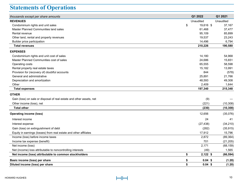# **Statements of Operations**

| thousands except per share amounts                                   | Q1 2022          | Q1 2021   |
|----------------------------------------------------------------------|------------------|-----------|
| <b>REVENUES</b>                                                      | Unaudited        | Unaudited |
| Condominium rights and unit sales                                    | \$<br>19,616 \$  | 37,167    |
| Master Planned Communities land sales                                | 61,468           | 37,477    |
| Rental revenue                                                       | 95,109           | 85,899    |
| Other land, rental and property revenues                             | 19,537           | 23,243    |
| Builder price participation                                          | 14,496           | 6,794     |
| <b>Total revenues</b>                                                | 210,226          | 190,580   |
| <b>EXPENSES</b>                                                      |                  |           |
| Condominium rights and unit cost of sales                            | 14,180           | 54,968    |
| Master Planned Communities cost of sales                             | 24,686           | 15,651    |
| Operating costs                                                      | 65,555           | 58,598    |
| Rental property real estate taxes                                    | 15,182           | 13,991    |
| Provision for (recovery of) doubtful accounts                        | 844              | (578)     |
| General and administrative                                           | 25,891           | 21,766    |
| Depreciation and amortization                                        | 48,593           | 49,308    |
| Other                                                                | 2,409            | 1,644     |
| <b>Total expenses</b>                                                | 197,340          | 215,348   |
| <b>OTHER</b>                                                         |                  |           |
| Gain (loss) on sale or disposal of real estate and other assets, net | (9)              |           |
| Other income (loss), net                                             | (221)            | (10, 308) |
| <b>Total other</b>                                                   | (230)            | (10, 308) |
| <b>Operating income (loss)</b>                                       | 12,656           | (35,076)  |
| Interest income                                                      | 24               | 41        |
| Interest expense                                                     | (27, 438)        | (34, 210) |
| Gain (loss) on extinguishment of debt                                | (282)            | (35, 915) |
| Equity in earnings (losses) from real estate and other affiliates    | 17,912           | 15,796    |
| Income (loss) before income taxes                                    | 2,872            | (89, 364) |
| Income tax expense (benefit)                                         | 701              | (21, 205) |
| Net income (loss)                                                    | 2,171            | (68, 159) |
| Net (income) loss attributable to noncontrolling interests           | (49)             | 1,565     |
| Net income (loss) attributable to common stockholders                | \$<br>$2,122$ \$ | (66, 594) |
| Basic income (loss) per share                                        | \$<br>$0.04$ \$  | (1.20)    |
| Diluted income (loss) per share                                      | \$<br>$0.04$ \$  | (1.20)    |
|                                                                      |                  |           |

**Comparative Statements of Operations: Total Portfolio**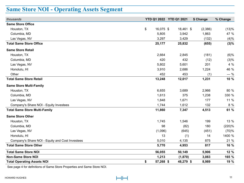# **Same Store NOI - Operating Assets Segment**

| thousands                                       | YTD Q1 2022 YTD Q1 2021 |           | \$ Change | % Change |
|-------------------------------------------------|-------------------------|-----------|-----------|----------|
| <b>Same Store Office</b>                        |                         |           |           |          |
| Houston, TX                                     | \$<br>16,075 \$         | 18,461 \$ | (2,386)   | (13)%    |
| Columbia, MD                                    | 5,805                   | 3,942     | 1,863     | 47 %     |
| Las Vegas, NV                                   | 3,297                   | 3,429     | (132)     | (4)%     |
| <b>Total Same Store Office</b>                  | 25,177                  | 25,832    | (655)     | (3)%     |
| <b>Same Store Retail</b>                        |                         |           |           |          |
| Houston, TX                                     | 2,664                   | 2,845     | (181)     | (6)%     |
| Columbia, MD                                    | 420                     | 432       | (12)      | (3)%     |
| Las Vegas, NV                                   | 5,802                   | 5,601     | 201       | 4 %      |
| Honolulu, HI                                    | 3,910                   | 2,686     | 1,224     | 46 %     |
| Other                                           | 452                     | 453       | (1)       | $-$ %    |
| <b>Total Same Store Retail</b>                  | 13,248                  | 12,017    | 1,231     | 10 %     |
| <b>Same Store Multi-Family</b>                  |                         |           |           |          |
| Houston, TX                                     | 6,655                   | 3,689     | 2,966     | 80 %     |
| Columbia, MD                                    | 1,613                   | 375       | 1,238     | 330 %    |
| Las Vegas, NV                                   | 1,848                   | 1,671     | 177       | 11 %     |
| Company's Share NOI - Equity Investees          | 1,744                   | 1,612     | 132       | 8 %      |
| <b>Total Same Store Multi-Family</b>            | 11,860                  | 7,347     | 4,513     | 61 %     |
| <b>Same Store Other</b>                         |                         |           |           |          |
| Houston, TX                                     | 1,745                   | 1,546     | 199       | 13 %     |
| Columbia, MD                                    | 98                      | (82)      | 180       | (220)%   |
| Las Vegas, NV                                   | (1,096)                 | (645)     | (451)     | (70)%    |
| Honolulu, HI                                    | 13                      | (1)       | 14        | 1400 %   |
| Company's Share NOI - Equity and Cost Investees | 5,010                   | 4,135     | 875       | 21 %     |
| <b>Total Same Store Other</b>                   | 5,770                   | 4,953     | 817       | 16 %     |
| <b>Total Same Store NOI</b>                     | 56,055                  | 50,149    | 5,906     | 12 %     |
| <b>Non-Same Store NOI</b>                       | 1,213                   | (1, 870)  | 3,083     | 165 %    |
| <b>Total Operating Assets NOI</b>               | \$<br>57,268 \$         | 48,279 \$ | 8,989     | 19 %     |

See page 4 for definitions of Same Store Properties and Same Store NOI.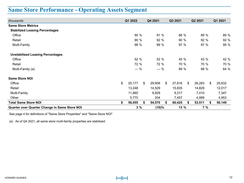# **Same Store Performance - Operating Assets Segment**

| thousands                                     | Q1 2022      |    | Q4 2021 |    | Q3 2021 |    | Q2 2021 |    | Q1 2021 |  |  |
|-----------------------------------------------|--------------|----|---------|----|---------|----|---------|----|---------|--|--|
| <b>Same Store Metrics</b>                     |              |    |         |    |         |    |         |    |         |  |  |
| <b>Stabilized Leasing Percentages</b>         |              |    |         |    |         |    |         |    |         |  |  |
| Office                                        | 90 %         |    | 91 %    |    | 88 %    |    | 89 %    |    | 89 %    |  |  |
| Retail                                        | 90 %         |    | 92 %    |    | 90%     |    | 92 %    |    | 92 %    |  |  |
| Multi-Family                                  | 98 %         |    | 99 %    |    | 97%     |    | 97 %    |    | 95 %    |  |  |
| <b>Unstabilized Leasing Percentages</b>       |              |    |         |    |         |    |         |    |         |  |  |
| Office                                        | 52 %         |    | 52 %    |    | 45 %    |    | 43 %    |    | 42 %    |  |  |
| Retail                                        | 72 %         |    | 72 %    |    | 70 %    |    | 70 %    |    | 70 %    |  |  |
| Multi-Family (a)                              | $-$ %        |    | $-$ %   |    | 89 %    |    | 88 %    |    | 64 %    |  |  |
| <b>Same Store NOI</b>                         |              |    |         |    |         |    |         |    |         |  |  |
| Office                                        | \$<br>25,177 | \$ | 29,908  | \$ | 27,816  | \$ | 26,283  | \$ | 25,832  |  |  |
| Retail                                        | 13,248       |    | 14,529  |    | 15,835  |    | 14,829  |    | 12,017  |  |  |
| Multi-Family                                  | 11,860       |    | 9,929   |    | 9,317   |    | 7,410   |    | 7,347   |  |  |
| Other                                         | 5,770        |    | 204     |    | 7,457   |    | 4,989   |    | 4,953   |  |  |
| <b>Total Same Store NOI</b>                   | \$<br>56,055 | \$ | 54,570  |    | 60,425  | \$ | 53,511  |    | 50,149  |  |  |
| Quarter over Quarter Change in Same Store NOI | 3%           |    | (10)%   |    | 13 %    |    | 7%      |    |         |  |  |

See page 4 for definitions of "Same Store Properties" and "Same Store NOI"

(a) As of Q4 2021, all same store multi-family properties are stabilized.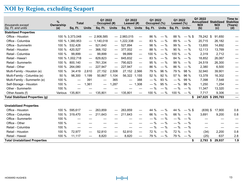# **NOI by Region, excluding Seaport**

| thousands except                       | $\%$<br><b>Ownership</b> | <b>Total</b>      |                          | Q1 2022<br>Occupied (#) |                                   | Q1 2022<br>Leased (#) |                          | Q1 2022<br>Occupied (%) |              | Q1 2022<br>Leased $(\%)$ |              | Q1 2022<br><b>NOI</b> | <b>Annualized Stabilized</b><br><b>NOI</b> | Time to<br><b>Stabilize</b><br>(Years) |  |
|----------------------------------------|--------------------------|-------------------|--------------------------|-------------------------|-----------------------------------|-----------------------|--------------------------|-------------------------|--------------|--------------------------|--------------|-----------------------|--------------------------------------------|----------------------------------------|--|
| Sq. Ft. and units                      | (a)                      | Sq. Ft.           | <b>Units</b>             | Sq. Ft.                 | <b>Units</b>                      | Sq. Ft.               | <b>Units</b>             | Sq. Ft.                 | <b>Units</b> | Sq. Ft.                  | <b>Units</b> | (b)                   | (c)                                        | (d)                                    |  |
| <b>Stabilized Properties</b>           |                          |                   |                          |                         |                                   |                       |                          |                         |              |                          |              |                       |                                            |                                        |  |
| Office - Houston                       |                          | 100 % 3,373,048   |                          | $-2,908,585$            | $\qquad \qquad -$                 | 2,983,015             | $\overline{\phantom{0}}$ | 86 %                    | $-$ %        | 88 %                     | $-$ % \$     | 78.242 \$             | 91.650                                     |                                        |  |
| Office - Columbia                      |                          | 100 % 1,380,953   |                          | 1,140,018               | $\overline{\phantom{0}}$          | 1,222,338             | $\hspace{0.05cm}$        | 83 %                    | $-$ %        | 89 %                     | $-$ %        | 20,715                | 26,182                                     |                                        |  |
| Office - Summerlin                     | 100 %                    | 532,428           |                          | 521,640                 | $\overline{\phantom{m}}$          | 527,894               | $\overline{\phantom{m}}$ | 98 %                    | $-$ %        | 99 %                     | $-$ %        | 13,855                | 14,892                                     |                                        |  |
| Retail - Houston                       | 100 %                    | 420,527           |                          | 368,152                 | $\overbrace{\phantom{12322111}}$  | 377,002               | $\overline{\phantom{m}}$ | 88 %                    | $-$ %        | 90%                      | $-$ %        | 12,113                | 13,769                                     |                                        |  |
| Retail - Columbia                      | 100 %                    | 99,899            |                          | 99,899                  |                                   | 99,899                | $\hspace{0.05cm}$        | 100 %                   | $-$ %        | 100 %                    | $-$ %        | 2,319                 | 2,712                                      |                                        |  |
| Retail - Hawai'i                       |                          | 100 % 1,002,718   | $\hspace{0.05cm}$        | 829,823                 | $\overline{\phantom{m}}$          | 845,832               | $\overline{\phantom{m}}$ | 83 %                    | $-$ %        | 84 %                     | $-$ %        | 18,852                | 26,067                                     |                                        |  |
| Retail - Summerlin                     | 100 %                    | 800.140           |                          | 761,334                 |                                   | 790,823               | $\overline{\phantom{0}}$ | 95 %                    | $-$ %        | 99 %                     | $-$ %        | 24,519                | 26,300                                     |                                        |  |
| Retail - Other                         | 100 %                    | 264,080           | $\overline{\phantom{m}}$ | 227,947                 |                                   | 227,947               | $\overline{\phantom{0}}$ | 86 %                    | $-$ %        | 86 %                     | $-$ %        | 2,380                 | 6,500                                      |                                        |  |
| Multi-Family - Houston (e)             | 100 %                    | 34,419            | 2,610                    | 27,152                  | 2,508                             | 27,152 2,566          |                          | 79 %                    | 96 %         | 79 %                     | 98 %         | 32,940                | 39,901                                     |                                        |  |
| Multi-Family - Columbia (e)            | 50 %                     | 98,300            | 1.199                    | 50,867                  | 1.104                             | 56,322 1,155          |                          | 52%                     | 92 %         | 57 %                     | 96 %         | 13,378                | 16,302                                     |                                        |  |
| Multi-Family - Summerlin (e)           | 100 %                    |                   | 391                      |                         | 365                               |                       | 388                      | $-$ %                   | 93 %         | $-$ %                    | 99 %         | 7,398                 | 7,548                                      |                                        |  |
| Self-Storage - Houston                 | 100 %                    |                   | 1,361                    |                         | 1,287                             |                       | 1,308                    | $-$ %                   | 95 %         | $-$ %                    | 96 %         | 1,250                 | 1,254                                      |                                        |  |
| Other - Summerlin                      | 100 %                    |                   |                          |                         |                                   |                       |                          | $-$ %                   | $-$ %        | $-$ %                    | $-$ %        | 11,347                | 13,320                                     |                                        |  |
| Other Assets (f)                       | Various                  | 135,801           |                          | 135,801                 | $\qquad \qquad \qquad$            | 135,801               | $\hspace{0.05cm}$        | 100 %                   | $-$ %        | 100 %                    | $-$ %        | 7,717                 | 9,306                                      |                                        |  |
| <b>Total Stabilized Properties (g)</b> |                          |                   |                          |                         |                                   |                       |                          |                         |              |                          |              |                       | 247,025 \$295,703                          | $\overbrace{\phantom{aaaaa}}$          |  |
|                                        |                          |                   |                          |                         |                                   |                       |                          |                         |              |                          |              |                       |                                            |                                        |  |
| <b>Unstabilized Properties</b>         |                          |                   |                          |                         |                                   |                       |                          |                         |              |                          |              |                       |                                            |                                        |  |
| Office - Houston                       | 100 %                    | 595,617           | $\hspace{0.05cm}$        | 263,859                 | $\qquad \qquad$                   | 263,859               |                          | 44 %                    | $-$ %        | 44 %                     | $-$ % \$     | $(839)$ \$            | 17,900                                     | 0.8                                    |  |
| Office - Columbia                      | 100 %                    | 319,470           | $\hspace{0.05cm}$        | 211,643                 | $\qquad \qquad \overbrace{ }^{ }$ | 211,643               | $\overline{\phantom{m}}$ | 66 %                    | $-$ %        | 66 %                     | $-$ %        | 3,691                 | 9,200                                      | 0.8                                    |  |
| Office - Summerlin                     | 100 %                    |                   |                          |                         |                                   |                       |                          | $-$ %                   | $-$ %        | $-$ %                    | $-$ %        |                       |                                            |                                        |  |
| Office - Other                         | 100 %                    | $\hspace{0.05cm}$ |                          |                         |                                   |                       |                          | $-$ %                   | $-$ %        | $-$ %                    | $-$ %        | —                     |                                            |                                        |  |
| Retail - Columbia                      | 100 %                    |                   |                          |                         |                                   |                       |                          | $-$ %                   | $-$ %        | $-$ %                    | $-$ %        | $\qquad \qquad$       |                                            |                                        |  |
| Retail - Houston                       | 100 %                    | 72,977            |                          | 52,810                  | $\overline{\phantom{0}}$          | 52,810                | $\overline{\phantom{0}}$ | 72 %                    | $-$ %        | 72 %                     | $-$ %        | (34)                  | 2,200                                      | 0.8                                    |  |
| Retail - Hawaii                        | 100 %                    | 11,117            |                          | 8,820                   |                                   | 8,820                 |                          | 79 %                    | $-$ %        | 79 %                     | $-$ %        | (25)                  | 637                                        | 2.8                                    |  |
| <b>Total Unstabilized Properties</b>   |                          |                   |                          |                         |                                   |                       |                          |                         |              |                          | \$           | 2,793 \$              | 29,937                                     | 1.9                                    |  |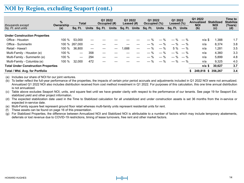### **NOI by Region, excluding Seaport (cont.)**

| thousands except                           | %<br>Ownership | <b>Total</b>             |       | Q1 2022<br>Occupied (#) |              | Q1 2022<br>Leased $(H)$ |  | Q1 2022<br>Occupied (%) |              | Q1 2022<br>Leased $(\%)$ |             | Q1 2022<br><b>Annualized</b><br><b>NOI</b> | <b>Stabilized</b><br><b>NOI</b> | Time to<br><b>Stabilize</b><br>(Years) |  |
|--------------------------------------------|----------------|--------------------------|-------|-------------------------|--------------|-------------------------|--|-------------------------|--------------|--------------------------|-------------|--------------------------------------------|---------------------------------|----------------------------------------|--|
| Sq. Ft. and units                          | (a)            | Sq. Ft.                  | Units | Sq. Ft.                 | <b>Units</b> | Sq. Ft. Units           |  | Sq. Ft.                 | <b>Units</b> | Sq. Ft. Units            |             | (b)                                        | (c)                             | (d)                                    |  |
| <b>Under Construction Properties</b>       |                |                          |       |                         |              |                         |  |                         |              |                          |             |                                            |                                 |                                        |  |
| Office - Houston                           | 100 $%$        | 53,000                   |       |                         |              |                         |  |                         | $-$ %        | $-$ %                    | $-$ %       | $n/a$ \$                                   | 886, 1                          | 1.7                                    |  |
| Office - Summerlin                         |                | 100 % 267,000            |       |                         |              |                         |  | $-$ %                   | $-$ %        |                          | $-$ % $-$ % | n/a                                        | 8.374                           | 3.8                                    |  |
| Retail - Hawai'i                           | 100 %          | 36,800                   |       |                         |              | 1,688                   |  | $-$ %                   | $-$ %        | $5\%$                    | $-$ %       | n/a                                        | 1,281                           | 3.5                                    |  |
| Multi-Family - Houston (e)                 | 100 %          | $\overline{\phantom{m}}$ | 358   |                         |              |                         |  | $-$ %                   | $-$ %        | $-$ %                    | $-$ %       | n/a                                        | 4,360                           | 3.3                                    |  |
| Multi-Family - Summerlin (e)               | 100 %          | $\overline{\phantom{m}}$ | 294   |                         |              |                         |  | $-$ %                   | $-$ %        | $-$ %                    | $-$ %       | n/a                                        | 5,899                           | 4.8                                    |  |
| Multi-Family - Columbia (e)                | 100 %          | 32,000                   | 472   |                         |              |                         |  | $-$ %                   | $-$ %        | $-$ %                    | $-$ %       | n/a                                        | 9.325                           | 4.0                                    |  |
| <b>Total Under Construction Properties</b> |                |                          |       |                         |              |                         |  |                         |              |                          |             | $n/a$ \$                                   | 30,627                          | 3.7                                    |  |
| Total / Wtd. Avg. for Portfolio            |                |                          |       |                         |              |                         |  |                         |              |                          |             | 249,818 \$                                 | 356.267                         | 3.4                                    |  |

(a) Includes our share of NOI for our joint ventures.

(b) To better reflect the full-year performance of the properties, the impacts of certain prior period accruals and adjustments included in Q1 2022 NOI were not annualized. Annualized Q1 2022 NOI also includes distribution received from cost method investment in Q1 2022. For purposes of this calculation, this one time annual distribution is not annualized.

(c) Table above excludes Seaport NOI, units, and square feet until we have greater clarity with respect to the performance of our tenants. See page 19 for Seaport Est. stabilized yield and other project information.

(d) The expected stabilization date used in the Time to Stabilized calculation for all unstabilized and under construction assets is set 36 months from the in-service or expected in-service date.

(e) Multi-Family square feet represent ground floor retail whereas multi-family units represent residential units for rent.

(f) These assets can be found on page 16 of this presentation.

(g) For Stabilized Properties, the difference between Annualized NOI and Stabilized NOI is attributable to a number of factors which may include temporary abatements, deferrals or lost revenue due to COVID-19 restrictions, timing of lease turnovers, free rent and other market factors.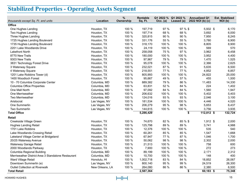# **Stabilized Properties - Operating Assets Segment**

| thousands except Sq. Ft. and units                 | Location        | %<br>Ownership | Rentable<br>Sq. Ft. | Q1 2022 %<br>Occ. (a) | Q1 2022 %<br>Leased (a) | <b>Annualized Q1</b><br>2022 NOI (b) (c) | <b>Est. Stabilized</b><br>NOI (b) |
|----------------------------------------------------|-----------------|----------------|---------------------|-----------------------|-------------------------|------------------------------------------|-----------------------------------|
| Office                                             |                 |                |                     |                       |                         |                                          |                                   |
| One Hughes Landing                                 | Houston, TX     | 100 %          | 197,719             | 97%                   | 97 % \$                 | $5,932$ \$                               | 6,170                             |
| Two Hughes Landing                                 | Houston, TX     | 100 %          | 197,714             | 68 %                  | 68 %                    | 3,692                                    | 6,000                             |
| Three Hughes Landing                               | Houston, TX     | 100 %          | 320,815             | 90 %                  | 90 %                    | 7,950                                    | 8,245                             |
| 1725 Hughes Landing Boulevard                      | Houston, TX     | 100 %          | 331,176             | 55 %                  | 55 %                    | 3,780                                    | 6,900                             |
| 1735 Hughes Landing Boulevard                      | Houston, TX     | 100 %          | 318,170             | 100 %                 | 100 %                   | 8,805                                    | 8,900                             |
| 2201 Lake Woodlands Drive                          | Houston, TX     | 100 %          | 24,119              | 100 %                 | 100 %                   | 569                                      | 570                               |
| <b>Lakefront North</b>                             | Houston, TX     | 100 %          | 258,058             | 75 %                  | 97 %                    | 3,962                                    | 6,458                             |
| 8770 New Trails                                    | Houston, TX     | 100 %          | 180,000             | 100 %                 | 100 %                   | 3,952                                    | 4,400                             |
| 9303 New Trails                                    | Houston, TX     | 100 %          | 97,967              | 79 %                  | 79 %                    | 1,470                                    | 1,525                             |
| 3831 Technology Forest Drive                       | Houston, TX     | 100 %          | 95,078              | 100 %                 | 100 %                   | 2,366                                    | 2,625                             |
| 3 Waterway Square                                  | Houston, TX     | 100 %          | 232,021             | 87 %                  | 91 %                    | 5,635                                    | 6,500                             |
| 4 Waterway Square                                  | Houston, TX     | 100 %          | 218,551             | 77 %                  | 77 %                    | 4,852                                    | 6,857                             |
| 1201 Lake Robbins Tower (d)                        | Houston, TX     | 100 %          | 805,993             | 100 %                 | 100 %                   | 24,822                                   | 25,000                            |
| 1400 Woodloch Forest                               | Houston, TX     | 100 %          | 95,667              | 49 %                  | 57 %                    | 455                                      | 1,500                             |
| 10 - 70 Columbia Corporate Center                  | Columbia, MD    | 100 %          | 889,382             | 79 %                  | 86 %                    | 11,483                                   | 14,330                            |
| Columbia Office Properties                         | Columbia, MD    | 100 %          | 63,831              | 52 %                  | 84 %                    | 224                                      | 1,402                             |
| One Mall North                                     | Columbia, MD    | 100 %          | 97,092              | 84 %                  | 84 %                    | 1,560                                    | 1,947                             |
| One Merriweather                                   | Columbia, MD    | 100 %          | 206,632             | 100 %                 | 100 %                   | 5,402                                    | 5,403                             |
| Two Merriweather                                   | Columbia, MD    | 100 %          | 124,016             | 93 %                  | 93 %                    | 2,046                                    | 3,100                             |
| Aristocrat                                         | Las Vegas, NV   | 100 %          | 181,534             | 100 %                 | 100 %                   | 4,446                                    | 4,520                             |
| One Summerlin                                      | Las Vegas, NV   | 100 %          | 206,279             | 95 %                  | 98 %                    | 5,653                                    | 6,437                             |
| Two Summerlin                                      | Las Vegas, NV   | 100 %          | 144,615             | 100 %                 | 100 %                   | 3,756                                    | 3,935                             |
| <b>Total Office</b>                                |                 |                | 5,286,429           |                       |                         | \$<br>$112,812$ \$                       | 132,724                           |
| <b>Retail</b>                                      |                 |                |                     |                       |                         |                                          |                                   |
| Creekside Village Green                            | Houston, TX     | 100 %          | 74,670              | 82 %                  | 85 % \$                 | 1,912 \$                                 | 2,000                             |
| <b>Hughes Landing Retail</b>                       | Houston, TX     | 100 %          | 125,798             | 89 %                  | 89 %                    | 3,741                                    | 4,988                             |
| 1701 Lake Robbins                                  | Houston, TX     | 100 %          | 12,376              | 100 %                 | 100 %                   | 535                                      | 540                               |
| Lake Woodlands Crossing Retail                     | Houston, TX     | 100 %          | 60,261              | 85 %                  | 85 %                    | 1,547                                    | 1,668                             |
| Lakeland Village Center at Bridgeland              | Houston, TX     | 100 %          | 67,947              | 77 %                  | 87 %                    | 1,046                                    | 1,700                             |
| 20/25 Waterway Avenue                              | Houston, TX     | 100 %          | 50,062              | 98 %                  | 98 %                    | 2,302                                    | 2,000                             |
| Waterway Garage Retail                             | Houston, TX     | 100 %          | 21,513              | 100 %                 | 100 %                   | 758                                      | 600                               |
| 2000 Woodlands Parkway                             | Houston, TX     | 100 %          | 7,900               | 100 %                 | 100 %                   | 272                                      | 273                               |
| Columbia Regional Building                         | Columbia, MD    | 100 %          | 89,199              | 100 %                 | 100 %                   | 2,171                                    | 2,312                             |
| Merriweather District Area 3 Standalone Restaurant | Columbia, MD    | 100 %          | 10,700              | 100 %                 | 100 %                   | 148                                      | 400                               |
| Ward Village Retail                                | Honolulu, HI    | 100 %          | 1,002,718           | 83 %                  | 84 %                    | 18,852                                   | 26,067                            |
| Downtown Summerlin (e)                             | Las Vegas, NV   | 100 %          | 800,140             | 95 %                  | 99 %                    | 24,519                                   | 26,300                            |
| <b>Outlet Collection at Riverwalk</b>              | New Orleans, LA | 100 %          | 264,080             | 86 %                  | 86 %                    | 2,380                                    | 6,500                             |
| <b>Total Retail</b>                                |                 |                | 2,587,364           |                       |                         | \$<br>60,183 \$                          | 75,348                            |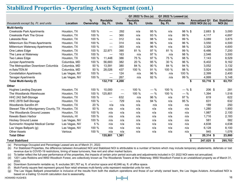## **Stabilized Properties - Operating Assets Segment (cont.)**

|                                                    |               |               |                          |                                | Q1 2022 % Occ.(a) |              | Q1 2022 % Leased (a) |              |                      |                        |
|----------------------------------------------------|---------------|---------------|--------------------------|--------------------------------|-------------------|--------------|----------------------|--------------|----------------------|------------------------|
|                                                    |               | $\frac{9}{6}$ | Rentable                 |                                | Rentable          |              | Rentable             |              | <b>Annualized Q1</b> | <b>Est. Stabilized</b> |
| thousands except Sq. Ft. and units                 | Location      | Ownership     | Sq. Ft.                  | <b>Units</b>                   | Sq. Ft.           | <b>Units</b> | Sq. Ft.              | <b>Units</b> | 2022 NOI (b) (c)     | NOI(b)                 |
| <b>Multi-family</b>                                |               |               |                          |                                |                   |              |                      |              |                      |                        |
| <b>Creekside Park Apartments</b>                   | Houston, TX   | 100 %         |                          | 292                            | n/a               | 95 %         | n/a                  | 98 % \$      | $2,683$ \$           | 3,000                  |
| <b>Creekside Park The Grove</b>                    | Houston, TX   | 100 %         |                          | 360                            | n/a               | 93 %         | n/a                  | 99 %         | 4,117                | 4,697                  |
| Lakeside Row                                       | Houston, TX   | 100 %         | $\hspace{0.05cm}$        | 312                            | n/a               | 98 %         | n/a                  | 99 %         | 3,089                | 3,875                  |
| Millennium Six Pines Apartments                    | Houston, TX   | 100 %         | $\equiv$                 | 314                            | n/a               | 96 %         | n/a                  | 96 %         | 3,550                | 4,500                  |
| Millennium Waterway Apartments                     | Houston, TX   | 100 %         | $\overline{\phantom{0}}$ | 393                            | n/a               | 96 %         | n/a                  | 98 %         | 3,326                | 4,600                  |
| One Lakes Edge                                     | Houston, TX   | 100 %         | 22,971                   | 390                            | 81 %              | 97 %         | 81 %                 | 99 %         | 6,486                | 7,200                  |
| The Lane at Waterway                               | Houston, TX   | 100 %         | $\overline{\phantom{0}}$ | 163                            | n/a               | 97 %         | n/a                  | 98 %         | 2,546                | 3,500                  |
| Two Lakes Edge                                     | Houston, TX   | 100 %         | 11,448                   | 386                            | 75 %              | 97 %         | 75 %                 | 98 %         | 7,143                | 8,529                  |
| Juniper Apartments                                 | Columbia, MD  | 100 %         | 56,683                   | 382                            | 20 %              | 95 %         | 30 %                 | 96 %         | 6,402                | 9,162                  |
| The Metropolitan Downtown Columbia                 | Columbia, MD  | 50 %          | 13,591                   | 380                            | 84 %              | 90 %         | 84 %                 | 94 %         | 3,052                | 3,132                  |
| m.flats/TEN.M                                      | Columbia, MD  | 50 %          | 28,026                   | 437                            | 100 %             | 91 %         | 100 %                | 98 %         | 3,924                | 4,008                  |
| <b>Constellation Apartments</b>                    | Las Vegas, NV | 100 %         | $\overline{\phantom{m}}$ | 124                            | n/a               | 96 %         | n/a                  | 100 %        | 2,399                | 2,400                  |
| <b>Tanager Apartments</b>                          | Las Vegas, NV | 100 %         | $\hspace{0.05cm}$        | 267                            | n/a               | 92 %         | n/a                  | 99 %         | 4,999                | 5,148                  |
| Total Multi-family (f)                             |               |               | 132,719                  | 4,200                          |                   |              |                      |              | \$<br>53,716 \$      | 63,751                 |
| Other                                              |               |               |                          |                                |                   |              |                      |              |                      |                        |
| <b>Hughes Landing Daycare</b>                      | Houston, TX   | 100 %         | 10,000                   |                                | 100 %             | $-$ %        | 100 %                | $- % $$      | 206 \$               | 281                    |
| The Woodlands Warehouse                            | Houston, TX   | 100 %         | 125,801                  | $\qquad \qquad \longleftarrow$ | 100 %             | $-$ %        | 100 %                | $-$ %        | 1,394                | 1,516                  |
| HHC 242 Self-Storage                               | Houston, TX   | 100 %         | $\hspace{0.05cm}$        | 632                            | n/a               | 96 %         | n/a                  | 97 %         | 619                  | 622                    |
| HHC 2978 Self-Storage                              | Houston, TX   | 100 %         | $\hspace{0.05cm}$        | 729                            | n/a               | 94 %         | n/a                  | 95 %         | 631                  | 632                    |
| Woodlands Sarofim #1                               | Houston, TX   | 20 %          | n/a                      | n/a                            | n/a               | n/a          | n/a                  | n/a          | 189                  | 250                    |
| Stewart Title of Montgomery County, TX Houston, TX |               | 50 %          | n/a                      | n/a                            | n/a               | n/a          | n/a                  | n/a          | 1,280                | 1,900                  |
| The Woodlands Ground Leases                        | Houston, TX   | 100 %         | n/a                      | n/a                            | n/a               | n/a          | n/a                  | n/a          | 1,987                | 2,100                  |
| Kewalo Basin Harbor                                | Honolulu, HI  | 100 %         | n/a                      | n/a                            | n/a               | n/a          | n/a                  | n/a          | 1,716                | 2,183                  |
| <b>Hockey Ground Lease</b>                         | Las Vegas, NV | 100 %         | n/a                      | n/a                            | n/a               | n/a          | n/a                  | n/a          | 581                  | 582                    |
| Summerlin Hospital Medical Center                  | Las Vegas, NV | 5 %           | n/a                      | n/a                            | n/a               | n/a          | n/a                  | n/a          | 4,638                | 4,638                  |
| Las Vegas Ballpark (g)                             | Las Vegas, NV | 100 %         | n/a                      | n/a                            | n/a               | n/a          | n/a                  | n/a          | 6,128                | 8,100                  |
| <b>Other Assets</b>                                | Various       | 100 %         | n/a                      | n/a                            | n/a               | n/a          | n/a                  | n/a          | 945                  | 1,076                  |
| <b>Total Other</b>                                 |               |               | 135,801                  | 1,361                          |                   |              |                      |              | \$<br>$20,314$ \$    | 23,880                 |
| <b>Total Stabilized</b>                            |               |               |                          |                                |                   |              |                      |              | \$<br>247,025 \$     | 295,703                |

(a) Percentage Occupied and Percentage Leased are as of March 31, 2022.

(b) For Stabilized Properties, the difference between Annualized NOI and Stabilized NOI is attributable to a number of factors which may include temporary abatements, deferrals or lost revenue due to COVID-19 restrictions, timing of lease turnovers, free rent and other market factors.

(c) To better reflect the full-year performance of the properties, the impacts of certain prior period accruals and adjustments included in Q1 2022 NOI were not annualized.

- (d) 1201 Lake Robbins and 9950 Woodloch Forest, are collectively known as The Woodlands Towers at the Waterway. 9950 Woodloch Forest is an unstabilized property as of March 31, 2022.
- (e) Downtown Summerlin rentable sq. ft. excludes 381,767 sq. ft. of anchor space and 40,846 sq. ft. of office space.
- (f) Multi-Family square feet represent ground floor retail whereas multi-family units represent residential units for rent.
- (g) The Las Vegas Ballpark presentation is inclusive of the results from both the stadium operations and those of our wholly owned team, the Las Vegas Aviators. Annualized NOI is based on a trailing 12-month calculation due to seasonality.

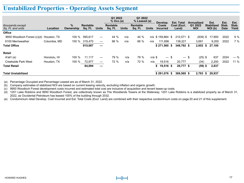## **Unstabilized Properties - Operating Assets Segment**

|                                       |              |                |                     |              | Q1 2022<br>$%$ Occ.(a) |              | Q1 2022<br>% Leased (a) |              |                                             |                                           |                                     |                                      |                              |                        |
|---------------------------------------|--------------|----------------|---------------------|--------------|------------------------|--------------|-------------------------|--------------|---------------------------------------------|-------------------------------------------|-------------------------------------|--------------------------------------|------------------------------|------------------------|
| thousands except<br>Sq. Ft. and units | Location     | %<br>Ownership | Rentable<br>Sq. Ft. | <b>Units</b> | Rentable<br>Sq. Ft.    | <b>Units</b> | Rentable<br>Sq. Ft.     | <b>Units</b> | Develop.<br><b>Costs</b><br><b>Incurred</b> | <b>Est. Total</b><br>Cost (Excl.<br>Land) | Annualized<br>Q1 2022<br><b>NOI</b> | Est.<br><b>Stabilized</b><br>NOI (b) | Est.<br>Stab.<br><b>Date</b> | Est.<br>Stab.<br>Yield |
| <b>Office</b>                         |              |                |                     |              |                        |              |                         |              |                                             |                                           |                                     |                                      |                              |                        |
| 9950 Woodloch Forest (c)(d)           | Houston, TX  | 100 $%$        | 595.617             |              | 44 %                   | n/a          | 44 %                    |              | n/a \$ 159,864 \$                           | 210.571 \$                                | $(839)$ \$                          | 17,900                               | 2022                         | 9%                     |
| 6100 Merriweather                     | Columbia, MD | 100 %          | 319.470             | —            | 66 %                   | n/a          | 66 %                    | n/a          | 111.696                                     | 138,221                                   | 3,691                               | 9,200                                | 2022                         | 7%                     |
| <b>Total Office</b>                   |              |                | 915,087             | —            |                        |              |                         |              | $$271,560$ \$                               | 348,792 \$                                | 2,852                               | 27,100<br>\$                         |                              |                        |
| Retail                                |              |                |                     |              |                        |              |                         |              |                                             |                                           |                                     |                                      |                              |                        |
| A'ali'i (e)                           | Honolulu, HI | 100 %          | 11.117              |              | 79 %                   | n/a          | 79 %                    | n/a \$       | $\qquad \qquad -$                           | \$                                        | $(25)$ \$<br>— \$                   | 637                                  | 2024                         | $-$ %                  |
| <b>Creekside Park West</b>            | Houston, TX  | 100 $%$        | 72,977              |              | 72 %                   | n/a          | 72 %                    | n/a          | 19,516                                      | 20,777                                    | (34)                                | 2,200                                | 2022                         | 11 %                   |
| <b>Total Retail</b>                   |              |                | 84,094              | —            |                        |              |                         |              | 19,516 \$<br>\$                             | 20,777 \$                                 | $(59)$ \$                           | 2,837                                |                              |                        |
| <b>Total Unstabilized</b>             |              |                |                     |              |                        |              |                         |              | $$291,076$ \$                               | 369,569 \$                                | 2,793                               | 29,937<br>\$                         |                              |                        |

(a) Percentage Occupied and Percentage Leased are as of March 31, 2022.

(b) Company estimates of stabilized NOI are based on current leasing velocity, excluding inflation and organic growth.

(c) 9950 Woodloch Forest development costs incurred and estimated total cost are inclusive of acquisition and tenant lease-up costs.

(d) 1201 Lake Robbins and 9950 Woodloch Forest, are collectively known as The Woodlands Towers at the Waterway. 1201 Lake Robbins is a stabilized property as of March 31, 2022, as Occidental Petroleum has leased 100% of the building through 2032.

(e) Condominium retail Develop. Cost Incurred and Est. Total Costs (Excl. Land) are combined with their respective condominium costs on page 20 and 21 of this supplement.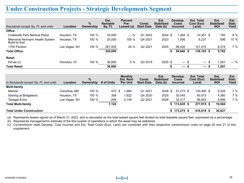#### **Under Construction Projects - Strategic Developments Segment**

|                                                 |               | $\%$      | Est.<br>Rentable | <b>Percent</b><br>Pre- | Const.            | Est.<br><b>Stabilized</b> | Develop.<br>Costs | <b>Est. Total</b><br>Cost (Excl. | Est.<br><b>Stabilized</b> | Est.<br>Stab. |
|-------------------------------------------------|---------------|-----------|------------------|------------------------|-------------------|---------------------------|-------------------|----------------------------------|---------------------------|---------------|
| thousands except Sq. Ft. and units              | Location      | Ownership | Sq. Ft.          | Leased (a)             | <b>Start Date</b> | Date (b)                  | <b>Incurred</b>   | Land)                            | <b>NOI</b>                | Yield         |
| <b>Office</b>                                   |               |           |                  |                        |                   |                           |                   |                                  |                           |               |
| Creekside Park Medical Plaza                    | Houston, TX   | 100 %     | 33,000           | $-$ %                  | Q1 2022           | $2024$ \$                 | \$ 284.ا          | $10,351$ \$                      | 792                       | 8%            |
| Memorial Hermann Health System<br>Build-to-Suit | Houston, TX   | 100 %     | 20,000           | 100 %                  | Q4 2021           | 2023                      | 1,936             | 6,237                            | 596                       | 10 %          |
| 1700 Pavilion                                   | Las Vegas, NV | 100 %     | 267,000          | 29 %                   | Q2 2021           | 2025                      | 56.420            | 121,515                          | 8,374                     | 7%            |
| <b>Total Office</b>                             |               |           | 320,000          |                        |                   |                           | 59,640 \$         | 138,103 \$                       | 9,762                     |               |
| <b>Retail</b>                                   |               |           |                  |                        |                   |                           |                   |                                  |                           |               |
| Kō'ula (c)                                      | Honolulu, HI  | 100 %     | 36,800           | 5 %                    | Q3 2019           | $2025$ \$                 | — \$              | $-$ \$                           | .281                      | $-$ %         |
| <b>Total Retail</b>                             |               |           | 36,800           |                        |                   |                           | — s               |                                  | 1,281                     |               |

|                                       |                 | $\frac{9}{6}$ |            | <b>Monthly</b><br><b>Est. Rent</b> | Const.            | Est.<br><b>Stabilized</b> | Develop.<br>Costs | <b>Est. Total</b><br>Cost (Excl. | Est.<br><b>Stabilized</b> | Est.<br>Stab. |
|---------------------------------------|-----------------|---------------|------------|------------------------------------|-------------------|---------------------------|-------------------|----------------------------------|---------------------------|---------------|
| in thousands except Sq. Ft. and units | <b>Location</b> | Ownership     | # of Units | <b>Per Unit</b>                    | <b>Start Date</b> | Date (b)                  | <b>Incurred</b>   | Land)                            | <b>NOI</b>                | Yield         |
| <b>Multi-family</b>                   |                 |               |            |                                    |                   |                           |                   |                                  |                           |               |
| Marlow                                | Columbia, MD    | 100 %         | 472 \$     | .984                               | Q1 2021           | 2026 \$                   | $51.273$ \$       | 130.490 \$                       | 9,325                     | 7 %           |
| Starling at Bridgeland                | Houston, TX     | 100 %         | 358        | 1,622                              | Q4 2020           | 2025                      | 30.045            | 60,572                           | 4,360                     | 7%            |
| Tanager Echo                          | Las Vegas, NV   | 100 %         | 294        | 2.148                              | Q2 2021           | 2026                      | 32.317            | 86.853                           | 5,899                     | 7%            |
| <b>Total Multi-family</b>             |                 |               | 1,124      |                                    |                   |                           | 113,635 \$        | 277.915 \$                       | 19.584                    |               |
| <b>Total Under Construction</b>       |                 |               |            |                                    |                   |                           | 173,275 \$        | 416.018 \$                       | 30,627                    |               |

(a) Represents leases signed as of March 31, 2022, and is calculated as the total leased square feet divided by total leasable square feet, expressed as a percentage.

(b) Represents management's estimate of the first quarter of operations in which the asset may be stabilized.

(c) Condominium retail Develop. Cost Incurred and Est. Total Costs (Excl. Land) are combined with their respective condominium costs on page 20 and 21 of this supplement.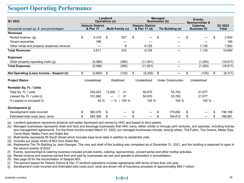#### **Seaport Operating Performance**

| Q1 2022                                     |                                       | Landlord<br><b>Operations (a)</b> |                         | <b>Managed</b><br><b>Businesses (b)</b> |                                           |    |                           | Events,<br><b>Sponsorships &amp;</b> |                                        |    |                  |
|---------------------------------------------|---------------------------------------|-----------------------------------|-------------------------|-----------------------------------------|-------------------------------------------|----|---------------------------|--------------------------------------|----------------------------------------|----|------------------|
| thousands except sq. ft. and percentages    | <b>Historic District</b><br>& Pier 17 |                                   | <b>Multi-Family (c)</b> |                                         | <b>Historic District</b><br>& Pier 17 (d) |    | Tin Building (e)          |                                      | <b>Catering</b><br><b>Business (f)</b> |    | Q1 2022<br>Total |
| <b>Revenues</b>                             |                                       |                                   |                         |                                         |                                           |    |                           |                                      |                                        |    |                  |
| Rental revenue (g)                          | \$<br>2,315                           | \$                                | 227                     | \$                                      |                                           | \$ |                           | \$                                   |                                        | \$ | 2,542            |
| Tenant recoveries                           | 196                                   |                                   |                         |                                         |                                           |    |                           |                                      |                                        |    | 196              |
| Other rental and property (expense) revenue |                                       |                                   | 6                       |                                         | 6,726                                     |    |                           |                                      | 1,130                                  |    | 7,862            |
| <b>Total Revenues</b>                       | 2,511                                 |                                   | 233                     |                                         | 6,726                                     |    |                           |                                      | 1,130                                  |    | 10,600           |
| <b>Expenses</b>                             |                                       |                                   |                         |                                         |                                           |    |                           |                                      |                                        |    |                  |
| Other property operating costs (g)          | (5,366)                               |                                   | (365)                   |                                         | (11, 931)                                 |    |                           |                                      | (1, 255)                               |    | (18, 917)        |
| <b>Total Expenses</b>                       | (5,366)                               |                                   | (365)                   |                                         | (11, 931)                                 |    |                           |                                      | (1,255)                                |    | (18, 917)        |
| Net Operating (Loss) Income - Seaport (h)   | \$<br>(2, 855)                        | \$                                | (132)                   | \$                                      | (5,205)                                   | \$ |                           | \$                                   | (125)                                  | \$ | (8, 317)         |
| <b>Project Status</b>                       | Unstabilized                          |                                   | Stabilized              |                                         | Unstabilized                              |    | <b>Under Construction</b> |                                      | Unstabilized                           |    |                  |
| Rentable Sq. Ft. / Units                    |                                       |                                   |                         |                                         |                                           |    |                           |                                      |                                        |    |                  |
| Total Sq. Ft. / units                       | 335,203                               | 13,000                            | 21                      |                                         | 50,970                                    |    | 53,783                    |                                      | 21,077                                 |    |                  |
| Leased Sq. Ft. / units (i)                  | 151.962                               |                                   | 21                      |                                         | 50,970                                    |    | 53,783                    |                                      | 21,077                                 |    |                  |
| % Leased or occupied (i)                    | 45 %                                  |                                   | $-$ % / 100 %           |                                         | 100 %                                     |    | 100 %                     |                                      | 100 %                                  |    |                  |
| Development (j)                             |                                       |                                   |                         |                                         |                                           |    |                           |                                      |                                        |    |                  |
| Development costs incurred                  | \$<br>560,476                         | \$                                |                         | \$                                      |                                           |    | 175,692                   | \$                                   |                                        | \$ | 736,168          |
| Estimated total costs (excl. land)          | \$<br>594,368                         | \$                                |                         |                                         |                                           |    | 194,613                   | \$                                   |                                        | \$ | 788,981          |

(a) Landlord operations represents physical real estate developed and owned by HHC and leased to third parties.

(b) Managed businesses represents retail and food and beverage businesses that HHC owns, either wholly or through joint ventures, and operates, including license and management agreements. For the three months ended March 31, 2022, our managed businesses include, among others, The Fulton, The Greens, Mister Dips, Carne Mare, Malibu Farm and Ssäm Bar.

(c) Multi-family represents 85 South Street which includes base level retail in addition to residential units.

(d) Includes our equity share of NOI from Ssäm Bar.

(e) Represents The Tin Building by Jean-Georges. The core and shell of the building was completed as of December 31, 2021, and the building is expected to open in the second quarter of 2022.

(f) Events, sponsorships & catering business includes private events, catering, sponsorships, concert series and other rooftop activities.

(g) Rental revenue and expense earned from and paid by businesses we own and operate is eliminated in consolidation.

(h) See page 35 for the reconciliation of Seaport NOI.

(i) The percent leased for Historic District & Pier 17 landlord operations includes agreements with terms of less than one year.

(j) Development costs incurred and Estimated total costs (excl. land) are shown net of insurance proceeds of approximately \$64.7 million.



**NOI by Region**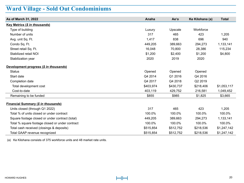# **Ward Village - Sold Out Condominiums**

| As of March 31, 2022                            | Anaha     | Ae'o      | Ke Kilohana (a) | <b>Total</b> |
|-------------------------------------------------|-----------|-----------|-----------------|--------------|
| Key Metrics (\$ in thousands)                   |           |           |                 |              |
| Type of building                                | Luxury    | Upscale   | Workforce       |              |
| Number of units                                 | 317       | 465       | 423             | 1,205        |
| Avg. unit Sq. Ft.                               | 1,417     | 838       | 696             | 940          |
| Condo Sq. Ft.                                   | 449,205   | 389,663   | 294,273         | 1,133,141    |
| Street retail Sq. Ft.                           | 16,048    | 70,800    | 28,386          | 115,234      |
| Stabilized retail NOI                           | \$1,200   | \$2,400   | \$1,200         | \$4,800      |
| Stabilization year                              | 2020      | 2019      | 2020            |              |
| Development progress (\$ in thousands)          |           |           |                 |              |
| <b>Status</b>                                   | Opened    | Opened    | Opened          |              |
| Start date                                      | Q4 2014   | Q1 2016   | Q4 2016         |              |
| Completion date                                 | Q4 2017   | Q4 2018   | Q2 2019         |              |
| Total development cost                          | \$403,974 | \$430,737 | \$218,406       | \$1,053,117  |
| Cost-to-date                                    | 403,119   | 429,752   | 216,581         | 1,049,452    |
| Remaining to be funded                          | \$855     | \$985     | \$1,825         | \$3,665      |
| <b>Financial Summary (\$ in thousands)</b>      |           |           |                 |              |
| Units closed (through Q1 2022)                  | 317       | 465       | 423             | 1,205        |
| Total % of units closed or under contract       | 100.0%    | 100.0%    | 100.0%          | 100.0%       |
| Square footage closed or under contract (total) | 449,205   | 389,663   | 294,273         | 1,133,141    |
| Total % square footage closed or under contract | 100.0%    | 100.0%    | 100.0%          | 100.0%       |
| Total cash received (closings & deposits)       | \$515,854 | \$512,752 | \$218,536       | \$1,247,142  |
| Total GAAP revenue recognized                   | \$515,854 | \$512,752 | \$218,536       | \$1,247,142  |

(a) Ke Kilohana consists of 375 workforce units and 48 market rate units.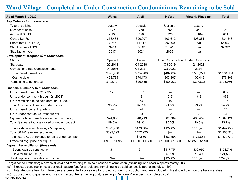## **Ward Village - Completed or Under Construction Condominiums Remaining to be Sold**

| As of March 31, 2022                               | Waiea             | 'A'ali'i          | Kō'ula                   | Victoria Place (c)                    | <b>Total</b> |
|----------------------------------------------------|-------------------|-------------------|--------------------------|---------------------------------------|--------------|
| Key Metrics (\$ in thousands)                      |                   |                   |                          |                                       |              |
| Type of building                                   | Luxury            | Upscale           | Upscale                  | Luxury                                |              |
| Number of units                                    | 177               | 750               | 565                      | 349                                   | 1,841        |
| Avg. unit Sq. Ft.                                  | 2,138             | 520               | 725                      | 1,164                                 | 861          |
| Condo Sq. Ft.                                      | 378,488           | 390,097           | 409,612                  | 406,351                               | 1,584,548    |
| Street retail Sq. Ft. (a)                          | 7,716             | 11,117            | 36,800                   | n/a                                   | 55,633       |
| Stabilized retail NOI                              | \$453             | \$637             | \$1,281                  | n/a                                   | \$2,371      |
| Stabilization year                                 | 2017              | 2024              | 2025                     | n/a                                   |              |
| Development progress (\$ in thousands)             |                   |                   |                          |                                       |              |
| <b>Status</b>                                      | Opened            | Opened            |                          | Under Construction Under Construction |              |
| Start date                                         | Q2 2014           | Q4 2018           | Q3 2019                  | Q1 2021                               |              |
| Completion / Est. Completion date                  | Q4 2016           | Q4 2021           | Q3 2022                  | 2024                                  |              |
| Total development cost                             | \$595,936         | \$394,908         | \$487,039                | \$503,271                             | \$1,981,154  |
| Cost-to-date                                       | 493,739           | 374,173           | 303,807                  | 105,449                               | 1,277,168    |
| Remaining to be funded                             | \$102,197         | \$20,735          | \$183,232                | \$397,822                             | \$703,986    |
| <b>Financial Summary (\$ in thousands)</b>         |                   |                   |                          |                                       |              |
| Units closed (through Q1 2022)                     | 175               | 687               |                          |                                       | 862          |
| Units under contract (through Q1 2022)             |                   | 8                 | 517                      | 348                                   | 873          |
| Units remaining to be sold (through Q1 2022)       | $\overline{2}$    | 55                | 48                       | 1                                     | 106          |
| Total % of units closed or under contract          | 98.9%             | 92.7%             | 91.5%                    | 99.7%                                 | 94.2%        |
| Units closed (current quarter)                     |                   | 24                | $\overline{\phantom{0}}$ | —                                     | 24           |
| Units under contract (current quarter)             |                   | 23                | 12                       | $\overline{2}$                        | 37           |
| Square footage closed or under contract (total)    | 374,688           | 348,213           | 380,764                  | 405,459                               | 1,509,124    |
| Total % square footage closed or under contract    | 99.0%             | 89.3%             | 93.0%                    | 99.8%                                 | 95.2%        |
| Total cash received (closings & deposits)          | \$692,778         | \$473,764         | \$122,850                | \$153,485                             | \$1,442,877  |
| Total GAAP revenue recognized                      | \$692,393         | \$472,925         | $s-$                     | $s-$                                  | \$1,165,318  |
| Total future GAAP revenue for units under contract | $\frac{2}{2}$     | \$7,530           | \$589,599                | \$772,881                             | \$1,370,010  |
| Expected avg. price per Sq. Ft.                    | $$1,900 - $1,950$ | $$1,300 - $1,350$ | $$1,500 - $1,550$        | $$1,850 - $1,900$                     |              |
| <b>Deposit Reconciliation (thousands)</b>          |                   |                   |                          |                                       |              |
| Spent towards construction                         | $s-$              | $\frac{2}{2}$     | \$117,751                | \$36,995                              | \$154,746    |
| Held for future use (b)                            |                   |                   | 5,099                    | 116,490                               | 121,589      |
| Total deposits from sales commitment               | $s-$              | $s-$              | \$122,850                | \$153,485                             | \$276,335    |

Target condo profit margin across all sold and remaining to be sold condos at completion (excluding land cost) is approximately 30%.

(a) Expected construction cost per retail square foot for all sold and remaining to be sold condos is approximately \$1,100.

(b) Total deposits held for future use are presented above only for projects under construction and are included in Restricted cash on the balance sheet.

(c) Subsequent to quarter end, we contracted the remaining unit, resulting in Victoria Place being completed sold.<br>|الطالعة

HOWARD HUGHES 21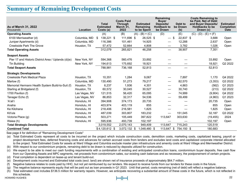#### **Summary of Remaining Development Costs**

|                                                     |               |                                               | <b>Costs Paid</b>                   |                                              | Remaining<br><b>Buyer</b>                   |    |                            | <b>Costs Remaining to</b><br>be Paid, Net of Debt          |                                                      |
|-----------------------------------------------------|---------------|-----------------------------------------------|-------------------------------------|----------------------------------------------|---------------------------------------------|----|----------------------------|------------------------------------------------------------|------------------------------------------------------|
| As of March 31, 2022<br>thousands                   | Location      | <b>Total</b><br><b>Estimated</b><br>Costs (a) | <b>Through</b><br>March 31,<br>2022 | <b>Estimated</b><br>Remaining<br>to be Spent | Deposits/<br><b>Holdback to</b><br>be Drawn |    | Debt to<br>be Drawn<br>(b) | and Buyer Deposits/<br><b>Holdbacks to be</b><br>Drawn (c) | <b>Estimated</b><br><b>Completion</b><br><b>Date</b> |
| <b>Operating Assets</b>                             |               | (A)                                           | (B)                                 | $(A) - (B) = (C)$                            | (D)                                         |    | (E)                        | $(C) - (D) - (E) = (F)$                                    |                                                      |
| 6100 Merriweather (d)                               | Columbia, MD  | \$<br>138,221 \$                              | 111,696 \$                          | 26,525 \$                                    | $\overline{\phantom{0}}$                    | -S | 22,837 \$                  | 3,688                                                      | Open                                                 |
| Juniper Apartments (d)                              | Columbia, MD  | 116,386                                       | 101,461                             | 14,925                                       |                                             |    | 12,288                     | 2,637                                                      | Open                                                 |
| <b>Creekside Park The Grove</b>                     | Houston, TX   | 57,472                                        | 52,664                              | 4,808                                        |                                             |    | 3,782                      | 1,026                                                      | Open                                                 |
| <b>Total Operating Assets</b>                       |               | 312,079                                       | 265,821                             | 46,258                                       |                                             |    | 38,907                     | 7,351                                                      |                                                      |
| <b>Seaport Assets</b>                               |               |                                               |                                     |                                              |                                             |    |                            |                                                            |                                                      |
| Pier 17 and Historic District Area / Uplands (d)(e) | New York, NY  | 594,368                                       | 560,476                             | 33,892                                       |                                             |    |                            | 33,892                                                     | Open                                                 |
| <b>Tin Building</b>                                 | New York, NY  | 194,613                                       | 175,692                             | 18,921                                       |                                             |    |                            | 18,921                                                     | Q2 2022                                              |
| <b>Total Seaport Assets</b>                         |               | 788,981                                       | 736,168                             | 52,813                                       |                                             |    |                            | 52,813                                                     |                                                      |
| <b>Strategic Developments</b>                       |               |                                               |                                     |                                              |                                             |    |                            |                                                            |                                                      |
| Creekside Park Medical Plaza                        | Houston, TX   | 10,351                                        | 1,284                               | 9,067                                        |                                             |    | 7,897                      | 1,170                                                      | Q4 2022                                              |
| Marlow (f)                                          | Columbia, MD  | 130,490                                       | 51,273                              | 79,217                                       | –                                           |    | 82,570                     | (3,353)                                                    | Q3 2022                                              |
| Memorial Hermann Health System Build-to-Suit (f)    | Houston, TX   | 6,237                                         | 1,936                               | 4,301                                        |                                             |    | 4,863                      | (562)                                                      | Q1 2023                                              |
| Starling at Bridgeland (f)                          | Houston, TX   | 60,572                                        | 30,045                              | 30,527                                       |                                             |    | 30,740                     | (213)                                                      | Q2 2022                                              |
| 1700 Pavilion (f)                                   | Las Vegas, NV | 121,515                                       | 56,420                              | 65,095                                       |                                             |    | 74,999                     | (9,904)                                                    | Q4 2022                                              |
| Tanager Echo (f)                                    | Las Vegas, NV | 86,853                                        | 32,317                              | 54,536                                       |                                             |    | 59,499                     | (4,963)                                                    | Q1 2023                                              |
| ʻAʻaliʻi                                            | Honolulu, HI  | 394,908                                       | 374,173                             | 20,735                                       |                                             |    |                            | 20,735                                                     | Open                                                 |
| Anaha                                               | Honolulu, HI  | 403,974                                       | 403.119                             | 855                                          |                                             |    |                            | 855                                                        | Open                                                 |
| Ke Kilohana                                         | Honolulu, HI  | 218,406                                       | 216,581                             | 1,825                                        |                                             |    |                            | 1,825                                                      | Open                                                 |
| Kō'ula                                              | Honolulu, HI  | 487,039                                       | 303,807                             | 183,232                                      |                                             |    | 151,045                    | 32,187                                                     | Q3 2022                                              |
| Victoria Place (g)                                  | Honolulu, HI  | 503,271                                       | 105,449                             | 397,822                                      | 113,647                                     |    | 303,630                    | (19, 455)                                                  | 2024                                                 |
| Waiea (h)                                           | Honolulu, HI  | 595,936                                       | 493,739                             | 102,197                                      |                                             |    |                            | 102,197                                                    | Open                                                 |
| <b>Total Strategic Developments</b>                 |               | 3,019,552                                     | 2,070,143                           | 949,409                                      | 113,647                                     |    | 715,243                    | 120,519                                                    |                                                      |
| <b>Combined Total</b>                               |               | $$4,120,612$ \$                               | 3,072,132 \$                        | 1,048,480 \$                                 | 113,647 \$                                  |    | 754,150 \$                 | 180,683                                                    |                                                      |

See page 4 for definition of "Remaining Development Costs"

(a) Total Estimated Costs represent all costs to be incurred on the project which include construction costs, demolition costs, marketing costs, capitalized leasing, payroll or project development fees, deferred financing costs and advances for certain accrued costs from lenders and excludes land costs and capitalized corporate interest allocated to the project. Total Estimated Costs for assets at Ward Village and Columbia exclude master plan infrastructure and amenity costs at Ward Village and Merriweather District.

(b) With respect to our condominium projects, remaining debt to be drawn is reduced by deposits utilized for construction.

(c) We expect to be able to meet our cash funding requirements with a combination of existing and anticipated construction loans, condominium buyer deposits, free cash flow from our Operating Assets and MPC segments, net proceeds from condominium sales, our existing cash balances and as necessary, the postponement of certain projects.

(d) Final completion is dependent on lease-up and tenant build-out.

(e) Development costs incurred and Estimated total costs (excl. land) are shown net of insurance proceeds of approximately \$64.7 million.

(f) Negative balance relates to costs paid by HHC, but not yet reimbursed by our lenders. We expect to receive funds from our lenders for these costs in the future.

(g) The negative balance represents equity that will be paid out as loan proceeds in Q1 2023. Until that period, costs remaining (net of debt) will reflect a negative balance.

(h) Total estimated cost includes \$136.5 million for warranty repairs. However, we anticipate recovering a substantial amount of these costs in the future, which is not reflected in this schedule.

#### HOWARD HUGHES 22

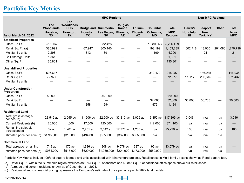## **Portfolio Key Metrics**

|                                                |                                           |                                                                  |                | <b>Non-MPC Regions</b>                          |                                            |                                          |                                    |                                              |                            |                                          |                                |                                    |
|------------------------------------------------|-------------------------------------------|------------------------------------------------------------------|----------------|-------------------------------------------------|--------------------------------------------|------------------------------------------|------------------------------------|----------------------------------------------|----------------------------|------------------------------------------|--------------------------------|------------------------------------|
| As of March 31, 2022                           | <b>The</b><br>Woodlands<br>Houston,<br>ТX | <b>The</b><br><b>Woodlands</b><br><b>Hills</b><br>Houston,<br>ТX | Houston,<br>TХ | <b>Bridgeland Summerlin</b><br>Las Vegas,<br>NV | <b>Douglas</b><br>Ranch<br>Phoenix,<br>AZ. | <b>Trillium</b><br>Phoenix,<br><b>AZ</b> | Columbia<br>Columbia,<br><b>MD</b> | <b>Total</b><br><b>MPC</b><br><b>Regions</b> | Hawai'i<br>Honolulu.<br>ΗI | <b>Seaport</b><br><b>New</b><br>York, NY | <b>Other</b>                   | <b>Total</b><br>Non-<br><b>MPC</b> |
| <b>Stabilized Properties</b>                   |                                           |                                                                  |                |                                                 |                                            |                                          |                                    |                                              |                            |                                          |                                |                                    |
| Office Sq.Ft.                                  | 3,373,048                                 |                                                                  |                | 532,428                                         |                                            |                                          | 1,380,953                          | 5,286,429                                    |                            |                                          |                                |                                    |
| Retail Sq. Ft. (a)                             | 386,999                                   | $\overline{\phantom{m}}$                                         | 67,947         | 800,140                                         |                                            | —                                        | 198,199                            | 1,453,285                                    | 1,002,718                  | 13,000                                   |                                | 264,080 1,279,798                  |
| Multifamily units                              | 2,298                                     | $\hspace{0.05cm}$                                                | 312            | 391                                             |                                            | —                                        | 1,199                              | 4,200                                        | $\overline{\phantom{0}}$   | 21                                       | —                              | 21                                 |
| Self-Storage Units                             | 1,361                                     |                                                                  |                |                                                 |                                            |                                          |                                    | 1,361                                        |                            |                                          |                                |                                    |
| Other Sq. Ft.                                  | 135,801                                   |                                                                  |                |                                                 |                                            |                                          |                                    | 135,801                                      |                            |                                          |                                |                                    |
| <b>Unstabilized Properties</b>                 |                                           |                                                                  |                |                                                 |                                            |                                          |                                    |                                              |                            |                                          |                                |                                    |
| Office Sq.Ft.                                  | 595,617                                   |                                                                  |                |                                                 |                                            |                                          | 319,470                            | 915,087                                      |                            | 146,935                                  | $\qquad \qquad \longleftarrow$ | 146,935                            |
| Retail Sq.Ft.                                  | 72,977                                    |                                                                  |                |                                                 |                                            |                                          |                                    | 72,977                                       | 11,117                     | 260,315                                  | $\overline{\phantom{0}}$       | 271,432                            |
| Multifamily units                              |                                           |                                                                  |                |                                                 |                                            |                                          |                                    |                                              |                            |                                          |                                |                                    |
| <b>Under Construction</b><br><b>Properties</b> |                                           |                                                                  |                |                                                 |                                            |                                          |                                    |                                              |                            |                                          |                                |                                    |
| Office Sq.Ft.                                  | 53,000                                    |                                                                  |                | 267,000                                         |                                            |                                          |                                    | 320,000                                      |                            |                                          |                                |                                    |
| Retail Sq.Ft.                                  |                                           |                                                                  |                |                                                 |                                            |                                          | 32,000                             | 32,000                                       | 36,800                     | 53,783                                   | $\overline{\phantom{0}}$       | 90,583                             |
| Multifamily units                              |                                           |                                                                  | 358            | 294                                             |                                            |                                          | 472                                | 1,124                                        |                            |                                          |                                |                                    |
| <b>Residential Land</b>                        |                                           |                                                                  |                |                                                 |                                            |                                          |                                    |                                              |                            |                                          |                                |                                    |
| Total gross acreage/<br>condos (b)             | 28,545 ac                                 | 2,055 ac                                                         | 11,506 ac      | 22,500 ac                                       | 33,810 ac 3,029 ac                         |                                          | 16,450 ac                          | 117,895 ac                                   | 3,046                      | n/a                                      | n/a                            | 3,046                              |
| Current Residents (b)                          | 120,000                                   | 1,600                                                            | 17,500         | 120,000                                         |                                            |                                          | 112,000                            | 371,100                                      | n/a                        | n/a                                      | n/a                            |                                    |
| Remaining saleable<br>acres/condos             | 32 ac                                     | 1,201 ac                                                         | 2,451 ac       | 2,542 ac                                        | 17,770 ac                                  | 1,230 ac                                 | n/a                                | 25,226 ac                                    | 106                        | n/a                                      | n/a                            | 106                                |
| Estimated price per acre (c)                   | \$1,983,000                               | \$315,000                                                        | \$494,000      | \$977,000                                       | \$332,000                                  | \$305,000                                | n/a                                |                                              | n/a                        | n/a                                      | n/a                            |                                    |
| <b>Commercial Land</b>                         |                                           |                                                                  |                |                                                 |                                            |                                          |                                    |                                              |                            |                                          |                                |                                    |
| Total acreage remaining                        | 749 ac                                    | 175 ac                                                           | 1,336 ac       | 808 ac                                          | 9,578 ac                                   | 337 ac                                   | 96 ac                              | 13,079 ac                                    | n/a                        | n/a                                      | n/a                            |                                    |
| Estimated price per acre (c)                   | \$961,000                                 | \$515,000                                                        | \$629,000      | \$1,039,000                                     | \$204,000                                  | \$173,000                                | \$580,000                          |                                              | n/a                        | n/a                                      | n/a                            |                                    |

Portfolio Key Metrics include 100% of square footage and units associated with joint venture projects. Retail space in Multi-family assets shown as Retail square feet.

(a) Retail Sq. Ft. within the Summerlin region excludes 381,767 Sq. Ft. of anchors and 40,846 Sq. Ft of additional office space above our retail space.

(b) Acreage and current residents shown as of December 31, 2021.

(c) Residential and commercial pricing represents the Company's estimate of price per acre per its 2022 land models.



**Portfolio Key Metrics**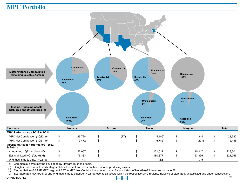#### **MPC Portfolio**



(a) Commercial acres may be developed by Howard Hughes or sold.

(b) Douglas Ranch is in its early stages of development and does not have income producing assets.

(c) Reconciliation of GAAP MPC segment EBT to MPC Net Contribution is found under Reconciliation of Non-GAAP Measures on page 36.

(d) Est. Stabilized NOI (Future) and Wtd. avg. time to stabilize (yrs.) represents all assets within the respective MPC regions, inclusive of stabilized, unstabilized and under construction.

HOWARD HUGHES 24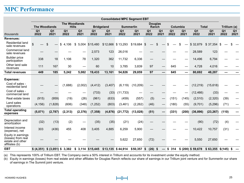#### **MPC Performance**

|                                                                                |                        |                          |                                      |                        |                        |                        | <b>Consolidated MPC Segment EBT</b> |                        |                          |                                   |                        |                        |                        |                        |                        |                        |
|--------------------------------------------------------------------------------|------------------------|--------------------------|--------------------------------------|------------------------|------------------------|------------------------|-------------------------------------|------------------------|--------------------------|-----------------------------------|------------------------|------------------------|------------------------|------------------------|------------------------|------------------------|
|                                                                                |                        | <b>The Woodlands</b>     | <b>The Woodlands</b><br><b>Hills</b> |                        |                        | <b>Bridgeland</b>      | <b>Summerlin</b>                    |                        |                          | <b>Douglas</b><br>Ranch           | Columbia               |                        | <b>Total</b>           |                        | Trillium (a)           |                        |
| thousands                                                                      | Q <sub>1</sub><br>2022 | Q <sub>1</sub><br>2021   | Q <sub>1</sub><br>2022               | Q <sub>1</sub><br>2021 | Q <sub>1</sub><br>2022 | Q <sub>1</sub><br>2021 | Q <sub>1</sub><br>2022              | Q <sub>1</sub><br>2021 | Q <sub>1</sub><br>2022   | Q <sub>1</sub><br>2021            | Q <sub>1</sub><br>2022 | Q <sub>1</sub><br>2021 | Q <sub>1</sub><br>2022 | Q <sub>1</sub><br>2021 | Q <sub>1</sub><br>2022 | Q <sub>1</sub><br>2021 |
| <b>Revenues:</b>                                                               |                        |                          |                                      |                        |                        |                        |                                     |                        |                          |                                   |                        |                        |                        |                        |                        |                        |
| Residential land<br>sale revenues                                              | \$                     | \$                       | \$<br>4.106                          |                        | \$ 5,004 \$15,480      | \$12,666 \$13,293      |                                     | $$19,684$ \$           | $\overline{\phantom{m}}$ | \$                                | \$                     | \$                     | \$32,879               | \$37,354               | - \$                   |                        |
| Commercial land<br>sale revenues                                               |                        |                          |                                      |                        | 2,573                  | 123                    | 26,016                              |                        |                          |                                   |                        |                        | 28,589                 | 123                    |                        |                        |
| <b>Builder</b> price<br>participation                                          | 338                    | 18                       | 1.106                                | 78                     | 1,320                  | 362                    | 11,732                              | 6,336                  |                          |                                   |                        |                        | 14,496                 | 6,794                  |                        |                        |
| Other land sale<br>revenues                                                    | 111                    | 167                      | 30                                   |                        | 60                     | 10                     | 3,785                               | 3,839                  | 97                       |                                   | 645                    |                        | 4,728                  | 4,016                  |                        |                        |
| <b>Total revenues</b>                                                          | 449                    | 185                      | 5,242                                | 5,082                  | 19,433                 | 13,161                 | 54,826                              | 29,859                 | 97                       | $\overline{\phantom{0}}$          | 645                    |                        | 80,692                 | 48,287                 |                        |                        |
| <b>Expenses:</b>                                                               |                        |                          |                                      |                        |                        |                        |                                     |                        |                          |                                   |                        |                        |                        |                        |                        |                        |
| Cost of sales -<br>residential land                                            |                        | —<br>—                   | (1,688)                              | (2,002)                | (4, 412)               | (3, 407)               | (6, 119)                            | (10, 209)              |                          |                                   |                        |                        | (12, 219)              | (15, 618)              |                        |                        |
| Cost of sales -<br>commercial land                                             |                        |                          |                                      |                        | (733)                  | (33)                   | (11, 733)                           |                        |                          |                                   |                        |                        | (12, 466)              | (33)                   |                        |                        |
| Real estate taxes                                                              | (915)                  | (959)                    | (19)                                 | (26)                   | (961)                  | (633)                  | (459)                               | (557)                  | (5)                      |                                   | (151)                  | (145)                  | (2,510)                | (2, 320)               | (39)                   |                        |
| Land sales<br>operations                                                       | (4, 156)               | (1,828)                  | (606)                                | (348)                  | (1,252)                | (803)                  | (3, 461)                            | (2, 262)               | (46)                     | $\overbrace{\phantom{123221111}}$ | (180)                  | (55)                   | (9,701)                | (5, 296)               | (71)                   |                        |
| <b>Total operating</b><br>expenses                                             | (5,071)                | (2,787)                  | (2, 313)                             | (2, 376)               | (7, 358)               | (4, 876)               | (21, 772)                           | (13,028)               | (51)                     |                                   | (331)                  | (200)                  | (36, 896)              | (23, 267)              | (110)                  |                        |
| Depreciation and<br>amortization                                               | (32)                   | (13)                     | (2)                                  |                        | (35)                   | (35)                   | (21)                                | (24)                   |                          |                                   |                        |                        | (90)                   | (72)                   | (4)                    |                        |
| Interest income<br>(expense), net                                              | 303                    | (436)                    | 455                                  | 408                    | 3.405                  | 4.885                  | 6,259                               | 5,900                  |                          |                                   |                        |                        | 10,422                 | 10,757                 | (31)                   |                        |
| Equity in earnings<br>(losses) from real<br>estate and other<br>affiliates (b) |                        |                          |                                      |                        |                        |                        | 5,622                               | 27,650                 | (72)                     |                                   |                        |                        | 5,550                  | 27,650                 |                        |                        |
| <b>EBT</b>                                                                     |                        | \$ (4,351) \$ (3,051) \$ | 3,382                                |                        | $$3,114$ $$15,445$     |                        | $$13,135$ $$44,914$                 | $$50,357$ \$           | $(26)$ \$                |                                   | $-$ \$ 314             |                        | \$ (200) \$ 59,678     | $$63,355$ $$(145)$     |                        | \$                     |

(a) This represents 100% of Trillium EBT. The Company owns a 50% interest in Trillium and accounts for its investment under the equity method.

(b) Equity in earnings (losses) from real estate and other affiliates for Douglas Ranch reflects our share of earnings in our Trillium joint venture and for Summerlin our share of earnings in The Summit joint venture.

**Master Planned Community Land**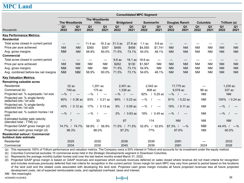## **MPC Land**

|                                                                   |                                                                    |                                                  | <b>Consolidated MPC Segment</b>                  |                                                  |                                                  |                                                  |                                                  |
|-------------------------------------------------------------------|--------------------------------------------------------------------|--------------------------------------------------|--------------------------------------------------|--------------------------------------------------|--------------------------------------------------|--------------------------------------------------|--------------------------------------------------|
|                                                                   | <b>The Woodlands</b>                                               | <b>The Woodlands</b><br><b>Hills</b>             | <b>Bridgeland</b>                                | <b>Summerlin</b>                                 | <b>Douglas Ranch</b>                             | Columbia                                         | Trillium (a)                                     |
| thousands                                                         | Q <sub>1</sub><br>Q <sub>1</sub><br>2022<br>2021                   | Q <sub>1</sub><br>Q <sub>1</sub><br>2022<br>2021 | Q <sub>1</sub><br>Q <sub>1</sub><br>2022<br>2021 | Q <sub>1</sub><br>Q <sub>1</sub><br>2022<br>2021 | Q <sub>1</sub><br>Q <sub>1</sub><br>2021<br>2022 | Q <sub>1</sub><br>Q <sub>1</sub><br>2022<br>2021 | Q <sub>1</sub><br>Q <sub>1</sub><br>2022<br>2021 |
| <b>Key Performance Metrics:</b>                                   |                                                                    |                                                  |                                                  |                                                  |                                                  |                                                  |                                                  |
| <b>Residential</b>                                                |                                                                    |                                                  |                                                  |                                                  |                                                  |                                                  |                                                  |
| Total acres closed in current period                              | $\hspace{0.05cm}$<br>$\hspace{0.05cm}$                             | 11.4 ac                                          | 16.3 ac 31.3 ac<br>$27.6$ ac                     | $1.1$ ac<br>9.8 ac                               | $\hspace{0.1mm}-\hspace{0.1mm}$                  |                                                  |                                                  |
| Price per acre achieved                                           | <b>NM</b><br><b>NM</b>                                             | \$360<br>\$307                                   | \$495<br>\$459                                   | \$4,555<br>\$1,741                               | <b>NM</b><br><b>NM</b>                           | <b>NM</b><br><b>NM</b>                           | <b>NM</b><br><b>NM</b>                           |
| Avg. gross margins                                                | <b>NM</b><br><b>NM</b>                                             | 60.0%<br>58.9%                                   | 71.5%<br>73.1%                                   | 54.0%<br>48.1%                                   | <b>NM</b><br><b>NM</b>                           | <b>NM</b><br><b>NM</b>                           | <b>NM</b><br><b>NM</b>                           |
| <b>Commercial</b>                                                 |                                                                    |                                                  |                                                  |                                                  |                                                  |                                                  |                                                  |
| Total acres closed in current period                              | $\hspace{0.1mm}-\hspace{0.1mm}$<br>$\hspace{0.1mm}-\hspace{0.1mm}$ | $\hspace{0.05cm}$                                | 9.8 ac<br>18.1 ac                                | 16.6 ac<br>$\overline{\phantom{m}}$              |                                                  |                                                  |                                                  |
| Price per acre achieved                                           | <b>NM</b><br><b>NM</b>                                             | <b>NM</b><br><b>NM</b>                           | \$262<br>\$130                                   | \$1,567<br><b>NM</b>                             | <b>NM</b><br><b>NM</b>                           | <b>NM</b><br><b>NM</b>                           | <b>NM</b><br><b>NM</b>                           |
| Avg. gross margins                                                | <b>NM</b><br><b>NM</b>                                             | <b>NM</b><br><b>NM</b>                           | 71.5%<br>73.1%                                   | 54.9%<br><b>NM</b>                               | <b>NM</b><br><b>NM</b>                           | <b>NM</b><br><b>NM</b>                           | <b>NM</b><br><b>NM</b>                           |
| Avg. combined before-tax net margins                              | <b>NM</b><br><b>NM</b>                                             | 60.0%<br>58.9%                                   | 71.5%<br>73.1%                                   | 48.1%<br>54.6%                                   | <b>NM</b><br><b>NM</b>                           | <b>NM</b><br><b>NM</b>                           | <b>NM</b><br><b>NM</b>                           |
| <b>Key Valuation Metrics:</b>                                     |                                                                    |                                                  |                                                  |                                                  |                                                  |                                                  |                                                  |
| <b>Remaining saleable acres</b>                                   |                                                                    |                                                  |                                                  |                                                  |                                                  |                                                  |                                                  |
| Residential                                                       | 32ac                                                               | $1.201$ ac                                       | 2.451 ac                                         | 2.542 ac                                         | 17.770 ac                                        |                                                  | 1.230 ac                                         |
| Commercial (b)                                                    | 749 ac                                                             | 175 ac                                           | 1,336 ac                                         | 808 ac                                           | 9,578 ac                                         | 96 ac                                            | 337 ac                                           |
| Projected est. % superpads / lot size                             | $-$ %                                                              | $-$ %                                            | $-$ %                                            | 82%<br>$0.25$ ac                                 | $-\%$                                            | <b>NM</b>                                        | <b>NM</b>                                        |
| Projected est. % single-family<br>detached lots / lot size        | 60%<br>$/0.36$ ac                                                  | 83%<br>$/ 0.21$ ac                               | 89%<br>$/0.23$ ac                                | $-$ %                                            | 81%<br>$/ 0.22$ ac                               | <b>NM</b>                                        | 100% / 0.24 ac                                   |
| Projected est. % single-family<br>attached lots / lot size        | $/$ 0.12 ac<br>40%                                                 | 17%<br>$/0.13$ ac                                | $9\%$<br>$/0.09$ ac                              | $-$ %                                            | 19%<br>$/ 0.11$ ac                               | <b>NM</b>                                        | $-$ %                                            |
| Projected est. % custom homes / lot<br>size                       | $-$ %                                                              | $-$ %                                            | $0.63$ ac<br>2%                                  | 18%<br>$/0.45$ ac                                | $-\%$                                            | <b>NM</b>                                        | $-\%$                                            |
| Estimated builder sale velocity<br>(blended total - TTM) (c)      | $\overline{7}$                                                     | 33                                               | 87                                               | 114                                              | <b>NM</b>                                        | <b>NM</b>                                        | <b>NM</b>                                        |
| Projected GAAP gross margin (d)                                   | 74.7%<br>74.7% /                                                   | 58.9%<br>58.9%                                   | 71.5%<br>/71.5%                                  | 52.8%<br>52.8%                                   | 87.3%<br>$-$ %                                   | <b>NM</b>                                        | $44.4\%$ /<br>$-$ %                              |
| Projected cash gross margin (d)                                   | 96.3%                                                              | 86.0%                                            | 87.2%                                            | 77%                                              | 87.6%                                            | <b>NM</b>                                        | 60.5%                                            |
| <b>Residential sellout / Commercial</b><br>buildout date estimate |                                                                    |                                                  |                                                  |                                                  |                                                  |                                                  |                                                  |
| Residential                                                       | 2025                                                               | 2030                                             | 2036                                             | 2039                                             | 2081                                             |                                                  | 2033                                             |
| Commercial                                                        | 2034                                                               | 2030                                             | 2045                                             | 2039                                             | 2081                                             | 2024                                             | 2026                                             |

(a) This represents 100% of Trillium performance and valuation metrics. The Company owns a 50% interest in Trillium and accounts for its investment under the equity method.

(b) Columbia Commercial excludes 15 commercial acres held in the Strategic Developments segment in Downtown Columbia.

(c) Represents the average monthly builder homes sold over the last twelve months ended March 31, 2022.

(d) Projected GAAP gross margin is based on GAAP revenues and expenses which exclude revenues deferred on sales closed where revenue did not meet criteria for recognition and includes revenues previously deferred that met criteria for recognition in the current period. Gross margin for each MPC may vary from period to period based on the locations of the land sold and the related costs associated with developing the land sold. Projected cash gross margin includes all future projected revenues less all future projected development costs, net of expected reimbursable costs, and capitalized overhead, taxes and interest.

NM Not meaningful.

HOWARD HUGHES 26

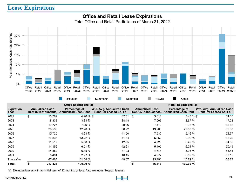## **Lease Expirations**



|                           |                        | <b>Office Expirations (a)</b>                                |                                                             |                        | <b>Retail Expirations (a)</b>                                |                                                      |
|---------------------------|------------------------|--------------------------------------------------------------|-------------------------------------------------------------|------------------------|--------------------------------------------------------------|------------------------------------------------------|
| <b>Expiration</b><br>Year | <b>Annualized Cash</b> | Percentage of<br>Rent (\$ in thousands) Annualized Cash Rent | Wtd. Avg. Annualized Cash<br><b>Rent Per Leased Sq. Ft.</b> | <b>Annualized Cash</b> | Percentage of<br>Rent (\$ in thousands) Annualized Cash Rent | Wtd. Avg. Annualized Cash<br>Rent Per Leased Sq. Ft. |
| 2022                      | \$<br>10,789           | 4.96 % \$                                                    | 37.51                                                       | -\$<br>3,016           | $3.48 \%$ \$                                                 | 34.35                                                |
| 2023                      | 8,332                  | 3.83%                                                        | 38.48                                                       | 7,506                  | 8.67%                                                        | 47.28                                                |
| 2024                      | 16,727                 | 7.69 %                                                       | 38.66                                                       | 7,472                  | 8.63%                                                        | 50.55                                                |
| 2025                      | 26,535                 | 12.20 %                                                      | 38.92                                                       | 19,988                 | 23.08 %                                                      | 55.33                                                |
| 2026                      | 10.720                 | 4.93 %                                                       | 41.50                                                       | 7,932                  | 9.16%                                                        | 51.77                                                |
| 2027                      | 29,835                 | 13.72 %                                                      | 41.34                                                       | 6,058                  | 6.99%                                                        | 55.20                                                |
| 2028                      | 11,517                 | 5.30%                                                        | 42.85                                                       | 4,725                  | 5.45%                                                        | 54.35                                                |
| 2029                      | 14,156                 | 6.51%                                                        | 42.21                                                       | 5,405                  | 6.24%                                                        | 50.49                                                |
| 2030                      | 14,889                 | 6.85%                                                        | 37.93                                                       | 4,644                  | 5.36 %                                                       | 63.45                                                |
| 2031                      | 6.461                  | 2.97%                                                        | 40.15                                                       | 4,377                  | 5.05%                                                        | 53.15                                                |
| Thereafter                | 67,465                 | 31.04 %                                                      | 49.87                                                       | 15,493                 | 17.89 %                                                      | 56.83                                                |
| Total                     | 217,426                | 100.00 %                                                     |                                                             | 86,616                 | 100.00 %                                                     |                                                      |

(a) Excludes leases with an initial term of 12 months or less. Also excludes Seaport leases.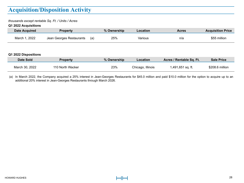# **Acquisition/Disposition Activity**

#### *thousands except rentable Sq. Ft. / Units / Acres*

#### **Q1 2022 Acquisitions**

| <b>Date Acquired</b> | <b>Property</b>          |     | % Ownership | Location          | <b>Acres</b>             | <b>Acquisition Price</b> |
|----------------------|--------------------------|-----|-------------|-------------------|--------------------------|--------------------------|
| March 1, 2022        | Jean Georges Restaurants | (a) | 25%         | Various           | n/a                      | \$55 million             |
|                      |                          |     |             |                   |                          |                          |
| Q1 2022 Dispositions |                          |     |             |                   |                          |                          |
| Date Sold            | <b>Property</b>          |     | % Ownership | <b>Location</b>   | Acres / Rentable Sq. Ft. | <b>Sale Price</b>        |
| March 30, 2022       | 110 North Wacker         |     | 23%         | Chicago, Illinois | 1,491,651 sq. ft.        | \$208.6 million          |

(a) In March 2022, the Company acquired a 25% interest in Jean-Georges Restaurants for \$45.0 million and paid \$10.0 million for the option to acquire up to an additional 20% interest in Jean-Georges Restaurants through March 2026.

**Acquisition / Disposition Activity**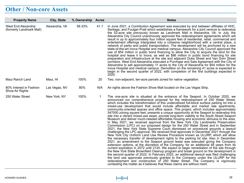# **Other / Non-core Assets**

| <b>Property Name</b>                              | <b>City, State</b> | % Ownership Acres |      | <b>Notes</b>                                                                                                                                                                                                                                                                                                                                                                                                                                                                                                                                                                                                                                                                                                                                                                                                                                                                                                                                                                                                                                                                                                                                                                                                                                                                                                                                                                                                                                                                                                                                                                                                                                                                                                                                                                                                                                                                                                                                                                                  |
|---------------------------------------------------|--------------------|-------------------|------|-----------------------------------------------------------------------------------------------------------------------------------------------------------------------------------------------------------------------------------------------------------------------------------------------------------------------------------------------------------------------------------------------------------------------------------------------------------------------------------------------------------------------------------------------------------------------------------------------------------------------------------------------------------------------------------------------------------------------------------------------------------------------------------------------------------------------------------------------------------------------------------------------------------------------------------------------------------------------------------------------------------------------------------------------------------------------------------------------------------------------------------------------------------------------------------------------------------------------------------------------------------------------------------------------------------------------------------------------------------------------------------------------------------------------------------------------------------------------------------------------------------------------------------------------------------------------------------------------------------------------------------------------------------------------------------------------------------------------------------------------------------------------------------------------------------------------------------------------------------------------------------------------------------------------------------------------------------------------------------------------|
| West End Alexandria<br>(formerly Landmark Mall)   | Alexandria, VA     | 58.33%            | 41.1 | In June 2021, a Contribution Agreement was executed by and between affiliates of HHC,<br>Seritage, and Foulger-Pratt which establishes a framework for a joint venture to redevelop<br>the 52-acre site previously known as Landmark Mall in Alexandria, VA. In July, the<br>Alexandria City Council unanimously approved the redevelopment agreements which will<br>result in up to approximately four million square feet of residential, retail, commercial and<br>entertaiment offerings intergrated into a cohesive neighborhood with a central plaze, a<br>network of parks and public transportation. The development will be anchored by a new<br>state-of-the-art Inova Hospital and medical campus. Alexandria City Council approved the<br>use of \$54 million in public bond financing to allow the City to acquire the land for the<br>hospital and lease it to lnova, as well as \$86 million in public bond financing for site<br>preparation and infrastructure at the site and adjacent Duke Street and Van Dorn Street<br>corridors. West End Alexandria executed a Purchase and Sale Agreement with the City of<br>Alexandria to sell approximately 11 acres to the City of Alexandria for \$54 million for the<br>Inova Hospital and medical campus. Demolition on the remaining 41 acres is expected to<br>begin in the second quarter of 2022, with completion of the first buildings expected in<br>2025.                                                                                                                                                                                                                                                                                                                                                                                                                                                                                                                                                              |
| Maui Ranch Land                                   | Maui, HI           | 100%              | 20   | Two, non-adjacent, ten-acre parcels zoned for native vegetation.                                                                                                                                                                                                                                                                                                                                                                                                                                                                                                                                                                                                                                                                                                                                                                                                                                                                                                                                                                                                                                                                                                                                                                                                                                                                                                                                                                                                                                                                                                                                                                                                                                                                                                                                                                                                                                                                                                                              |
| 80% Interest in Fashion<br><b>Show Air Rights</b> | Las Vegas, NV      | 80%               | N/A  | Air rights above the Fashion Show Mall located on the Las Vegas Strip.                                                                                                                                                                                                                                                                                                                                                                                                                                                                                                                                                                                                                                                                                                                                                                                                                                                                                                                                                                                                                                                                                                                                                                                                                                                                                                                                                                                                                                                                                                                                                                                                                                                                                                                                                                                                                                                                                                                        |
| 250 Water Street                                  | New York, NY       | 100%              | 1    | The one-acre site is situated at the entrance of the Seaport. In October 2020, we<br>announced our comprehensive proposal for the redevelopment of 250 Water Street,<br>which includes the transformation of this underutilized full-block surface parking lot into a<br>mixed-use development that would include affordable and market rate apartments,<br>community-oriented spaces and office space. This project, which includes approximately<br>547000 zoning square feet, presents a unique opportunity at the Seaport to redevelop this<br>site into a vibrant mixed-use asset, provide long-term viability to the South Street Seaport<br>Museum and deliver much-needed affordable housing and economic stimulus to the area.<br>In May 2021, we received approval from the New York City Landmarks Preservation<br>Commission (LPC) on our proposed design for the 250 Water Street and in September<br>2021, the New York State Supreme Court dismissed on procedural grounds a lawsuit<br>challenging the LPC approval. We received final approvals in December 2021 through the<br>New York City Uniform Land Use Review Procedure known as ULURP, which will allow<br>the necessary transfer of development rights to the parking lot site. Also in December<br>2021, an amendment to the Seaport ground lease was executed giving the Company<br>extension options, at the discretion of the Company, for an additional 48 years from its<br>current expiration in 2072 until 2120. We expect to begin remediation of the site through<br>the New York State Brownfield Cleanup program and break ground on the development in<br>the second quarter of 2022. In February 2022, an additional lawsuit was filed challenging<br>the land use approvals previously granted to the Company under the ULURP for the<br>redevelopment and construction of 250 Water Street. The Company is vigorously<br>contesting the matter as it believes that these claims are without merit. |

**Other Assets**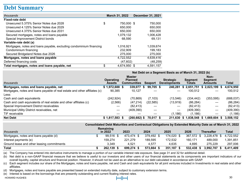#### **Debt Summary**

| thousands                                                           | March 31, 2022     | <b>December 31, 2021</b> |
|---------------------------------------------------------------------|--------------------|--------------------------|
| Fixed-rate debt                                                     |                    |                          |
| Unsecured 5.375% Senior Notes due 2028                              | \$<br>750,000 \$   | 750,000                  |
| Unsecured 4.125% Senior Notes due 2029                              | 650,000            | 650.000                  |
| Unsecured 4.375% Senior Notes due 2031                              | 650,000            | 650,000                  |
| Secured mortgages, notes and loans payable                          | 1,079,132          | 1,006,428                |
| Special Improvement District bonds                                  | 68,590             | 69,131                   |
| Variable-rate debt (a)                                              |                    |                          |
| Mortgages, notes and loans payable, excluding condominium financing | 1,016,921          | 1,039,674                |
| Condominium financing                                               | 232,909            | 199.183                  |
| Secured Bridgeland Notes due 2026                                   | 275,000            | 275.000                  |
| Mortgages, notes and loans payable                                  | 4,722,552          | 4,639,416                |
| Deferred financing costs                                            | (47,602)           | (48, 259)                |
| Total mortgages, notes and loans payable, net                       | \$<br>4.674.950 \$ | 4.591.157                |

|                                                                            | Net Debt on a Segment Basis as of March 31, 2022 (b) |  |                                                       |                |                                         |                          |                                      |  |            |
|----------------------------------------------------------------------------|------------------------------------------------------|--|-------------------------------------------------------|----------------|-----------------------------------------|--------------------------|--------------------------------------|--|------------|
| thousands                                                                  | <b>Operating</b><br><b>Assets</b>                    |  | <b>Master</b><br><b>Planned</b><br><b>Communities</b> | <b>Seaport</b> | <b>Strategic</b><br><b>Developments</b> | <b>Seament</b><br>Totals | Non-<br><b>Segment</b><br>Amounts    |  | Total      |
| Mortgages, notes and loans payable, net                                    | $$1,972,688$ \$                                      |  | 339,077 \$                                            | 99,705 \$      |                                         |                          | 240,281 \$ 2,651,751 \$ 2,023,199 \$ |  | 4,674,950  |
| Mortgages, notes and loans payable of real estate and other affiliates (c) | 90.385                                               |  | 10.127                                                |                |                                         | 100.512                  |                                      |  | 100.512    |
| Less:                                                                      |                                                      |  |                                                       |                |                                         |                          |                                      |  |            |
| Cash and cash equivalents                                                  | (242, 924)                                           |  | (70, 869)                                             | (7, 103)       | (13, 546)                               | (334, 442)               | (353, 595)                           |  | (688, 037) |
| Cash and cash equivalents of real estate and other affiliates (c)          | (2,566)                                              |  | (47, 214)                                             | (22, 585)      | (13, 919)                               | (86, 284)                | $\hspace{0.05cm}$                    |  | (86, 284)  |
| Special Improvement District receivables                                   |                                                      |  | (82, 413)                                             |                |                                         | (82, 413)                | $\overline{\phantom{m}}$             |  | (82, 413)  |
| Municipal Utility District receivables, net                                |                                                      |  | (409,390)                                             |                |                                         | (409, 390)               | —                                    |  | (409, 390) |
| TIF receivable                                                             |                                                      |  |                                                       |                | (1.186)                                 | (1.186)                  | —                                    |  | (1, 186)   |
| <b>Net Debt</b>                                                            | $$1,817,583$ \$                                      |  | $(260, 682)$ \$                                       | 70.017 \$      | 211.630                                 |                          | \$1.838.548 \$1.669.604 \$           |  | 3.508.152  |

| thousands                                  | Remaining<br>in 2022 | 2023       | 2024       | 2025       | 2026       | <b>Thereafter</b> | Total     |
|--------------------------------------------|----------------------|------------|------------|------------|------------|-------------------|-----------|
| Mortgages, notes and loans payable (d)     | 99.516               | 473.474 \$ | 379.492 \$ | 174.020 \$ | 367.572 \$ | $3.228.478$ \$    | 4.722.552 |
| Interest payments (e)                      | 159.274              | 221.279    | 189.595    | 172,532    | 160,171    | 489,000           | .391.851  |
| Ground lease and other leasing commitments | 3.349                | 4.521      | 4.577      | 4.635      | 4.695      | 275.229           | 297.006   |
| Total                                      | 262.139              | 699.274    | 573.664    | 351,187    | 532.438    | 3.992.707         | 6.411.409 |

(a) The Company has entered into derivative instruments to manage a portion of our variable interest rate exposure. See page 31 and 32 for additional detail.

(b) Net debt is a non-GAAP financial measure that we believe is useful to our investors and other users of our financial statements as its components are important indicators of our overall liquidity, capital structure and financial position. However, it should not be used as an alternative to our debt calculated in accordance with GAAP.

(c) Each segment includes our share of the Mortgages, notes and loans payable, net and Cash and cash equivalents for all joint ventures included in Investments in real estate and other affiliates.

(d) Mortgages, notes and loans payable are presented based on extended maturity date, subject to customary extension terms.

(e) Interest is based on the borrowings that are presently outstanding and current floating interest rates.

HOWARD HUGHES 30



**Debt Summary**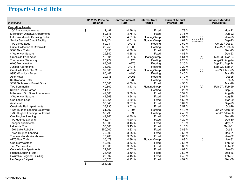# **Property-Level Debt**

| thousands                             | Q1 2022 Principal<br><b>Balance</b> | <b>Contract Interest</b><br>Rate | <b>Interest Rate</b><br>Hedge | <b>Current Annual</b><br><b>Interest Rate</b> |               | <b>Initial / Extended</b><br>Maturity (a) |
|---------------------------------------|-------------------------------------|----------------------------------|-------------------------------|-----------------------------------------------|---------------|-------------------------------------------|
| <b>Operating Assets</b>               |                                     |                                  |                               |                                               |               |                                           |
| 20/25 Waterway Avenue                 | \$<br>12,487                        | 4.79 %                           | Fixed                         | 4.79 %                                        |               | May-22                                    |
| Millennium Waterway Apartments        | 50,516                              | 3.75 %                           | Fixed                         | 3.75 %                                        |               | <b>Jun-22</b>                             |
| Lake Woodlands Crossing Retail        | 12,272                              | 4.61 %                           | Floating/Swap                 | 4.61 %                                        | (d)           | $Jan-23$                                  |
| Senior Secured Credit Facility        | 242,174                             | 4.61 %                           | Floating/Swap                 | 4.61 %                                        | (b), (c), (d) | Sep-23                                    |
| Two Lakes Edge                        | 69,031                              | $L+215$                          | Floating                      | 2.60 %                                        |               | Oct-22 / Oct-23                           |
| <b>Outlet Collection at Riverwalk</b> | 26,258                              | $S+300$                          | Floating                      | 3.50 %                                        |               | Oct-22 / Oct-23                           |
| 9303 New Trails                       | 10,190                              | 4.88 %                           | Fixed                         | 4.88 %                                        |               | $Dec-23$                                  |
| 4 Waterway Square                     | 29,842                              | 4.88 %                           | Fixed                         | 4.88 %                                        |               | $Dec-23$                                  |
| <b>Creekside Park West</b>            | 15,591                              | 4.61 %                           | Floating/Swap                 | 4.61 %                                        | (d)           | Mar-23 / Mar-24                           |
| The Lane at Waterway                  | 27,729                              | $L+175$                          | Floating                      | 2.20 %                                        |               | Aug-23 / Aug-24                           |
| 6100 Merriweather                     | 67,007                              | $L+275$                          | Floating                      | 3.20 %                                        |               | Sep-22 / Sep-24                           |
| <b>Juniper Apartments</b>             | 73,369                              | $L + 275$                        | Floating                      | 3.20 %                                        |               | Sep-22 / Sep-24                           |
| <b>Creekside Park The Grove</b>       | 39,605                              | 4.61 %                           | Floating/Swap                 | 4.61 %                                        | (d)           | Jan-24 / Jan -25                          |
| 9950 Woodloch Forest                  | 85,462                              | $L+195$                          | Floating                      | 2.40 %                                        |               | Mar-25                                    |
| Ae'o Retail                           | 29,718                              | $L + 265$                        | Floating                      | 3.10%                                         |               | Oct-25                                    |
| Ke Kilohana Retail                    | 9,079                               | $L+265$                          | Floating                      | 3.10%                                         |               | Oct-25                                    |
| 3831 Technology Forest Drive          | 20,085                              | 4.50 %                           | Fixed                         | 4.50 %                                        |               | Mar-26                                    |
| <b>Two Summerlin</b>                  | 40,800                              | 3.43 %                           | Floating/Swap                 | 3.43%                                         | (e)           | Feb-27 / Feb-29                           |
| Kewalo Basin Harbor                   | 11,418                              | $L+275$                          | Floating                      | 3.20 %                                        |               | Sep-27                                    |
| Millennium Six Pines Apartments       | 42,500                              | 3.39 %                           | Fixed                         | 3.39 %                                        |               | Aug-28                                    |
| 3 Waterway Square                     | 44,368                              | 3.94 %                           | Fixed                         | 3.94 %                                        |               | Aug-28                                    |
| One Lakes Edge                        | 68,364                              | 4.50 %                           | Fixed                         | 4.50 %                                        |               | Mar-29                                    |
| Aristocrat                            | 35,840                              | 3.67 %                           | Fixed                         | 3.67 %                                        |               | Sep-29                                    |
| <b>Creekside Park Apartments</b>      | 37,730                              | 3.52 %                           | Fixed                         | 3.52 %                                        |               | Oct-29                                    |
| 1725 Hughes Landing Boulevard         | 61,207                              | $L+395$                          | Floating                      | 4.40 %                                        |               | Jan-27 / Jan-30                           |
| 1735 Hughes Landing Boulevard         | 58,793                              | $L+395$                          | Floating                      | 4.40 %                                        |               | Jan-27 / Jan-30                           |
| One Hughes Landing                    | 49,260                              | 4.30 %                           | Fixed                         | 4.30 %                                        |               | $Dec-29$                                  |
| Two Hughes Landing                    | 46,974                              | 4.20 %                           | Fixed                         | 4.20 %                                        |               | $Dec-30$                                  |
| <b>Tanager Apartments</b>             | 58,500                              | 3.13 %                           | Fixed                         | 3.13 %                                        |               | $May-31$                                  |
| Lakeside Row                          | 35,500                              | 3.15 %                           | Fixed                         | 3.15%                                         |               | Sept-31                                   |
| 1201 Lake Robbins                     | 250,000                             | 3.83 %                           | Fixed                         | 3.83 %                                        |               | Oct-31                                    |
| Three Hughes Landing                  | 70,000                              | 3.55 %                           | Fixed                         | 3.55 %                                        |               | Dec-31                                    |
| The Woodlands Warehouse               | 13,700                              | 3.65 %                           | Fixed                         | 3.65 %                                        |               | $Jan-32$                                  |
| 8770 New Trails                       | 35,479                              | 4.89 %                           | Floating/Swap                 | 4.89 %                                        | (f)           | $Jan-32$                                  |
| One Merriweather                      | 49,800                              | 3.53 %                           | Fixed                         | 3.53 %                                        |               | Feb-32                                    |
| <b>Two Merriweather</b>               | 25,600                              | 3.83 %                           | Fixed                         | 3.83 %                                        |               | Feb-32                                    |
| <b>Constellation Apartments</b>       | 24,200                              | 4.07 %                           | Fixed                         | 4.07 %                                        |               | $Jan-33$                                  |
| <b>Hughes Landing Retail</b>          | 33,455                              | 3.50 %                           | Fixed                         | 3.50 %                                        |               | Dec-36                                    |
| Columbia Regional Building            | 23,692                              | 4.48 %                           | Fixed                         | 4.48 %                                        |               | Feb-37                                    |
| Las Vegas Ballpark                    | 46,528                              | 4.92 %                           | Fixed                         | 4.92 %                                        |               | Dec-39                                    |
|                                       | \$<br>1,984,123                     |                                  |                               |                                               |               |                                           |

**Property-Level Debt**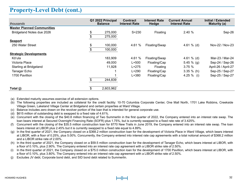#### **Property-Level Debt (cont.)**

| thousands                         | Q1 2022 Principal<br><b>Balance</b> | <b>Contract</b><br><b>Interest Rate</b> | <b>Interest Rate</b><br><b>Hedge</b> | <b>Current Annual</b><br><b>Interest Rate</b> | Initial / Extended<br>Maturity (a) |
|-----------------------------------|-------------------------------------|-----------------------------------------|--------------------------------------|-----------------------------------------------|------------------------------------|
| <b>Master Planned Communities</b> |                                     |                                         |                                      |                                               |                                    |
| Bridgeland Notes due 2026         | \$<br>275,000                       | $S+230$                                 | Floating                             | 2.40%                                         | Sep-26                             |
|                                   | 275,000                             |                                         |                                      |                                               |                                    |
| <b>Seaport</b>                    |                                     |                                         |                                      |                                               |                                    |
| 250 Water Street                  | \$<br>100,000                       | 4.61%                                   | Floating/Swap                        | 4.61 $%$ (d)                                  | Nov-22 / Nov-23                    |
|                                   | 100,000                             |                                         |                                      |                                               |                                    |
| <b>Strategic Developments</b>     |                                     |                                         |                                      |                                               |                                    |
| Kōʻula                            | 183,909                             | 4.61%                                   | Floating/Swap                        | 4.61 $%$ (d)                                  | Mar-23 / Mar-24                    |
| Victoria Place                    | 49,000                              | $L + 500$                               | Floating/Cap                         | 5.45 $%$ (g)                                  | Sep-24 / Sep-26                    |
| Starling at Bridgeland            | 11,928                              | $L + 275$                               | Floating                             | 3.75%                                         | April-26 / April-27                |
| Tanager Echo                      |                                     | $L + 290$                               | Floating/Cap                         | $3.35 \%$ (h)                                 | Sep-25 / Sep-27                    |
| 1700 Pavillion                    |                                     | $L + 380$                               | Floating/Cap                         | 4.25 $%$ (i)                                  | Sep-25 / Sep-27                    |
|                                   | 244,839                             |                                         |                                      |                                               |                                    |
| Total (j)                         | 2,603,962                           |                                         |                                      |                                               |                                    |

(a) Extended maturity assumes exercise of all extension options.

- (b) The following properties are included as collateral for the credit facility: 10-70 Columbia Corporate Center, One Mall North, 1701 Lake Robbins, Creekside Village Green, Lakeland Village Center at Bridgeland and certain properties at Ward Village.
- (c) Balance includes zero drawn on the revolver portion of the loan that is intended for general corporate use.
- (d) \$615 million of outstanding debt is swapped to a fixed rate of 4.61%.
- (e) Concurrent with the closing of the \$40.8 million financing of Two Summerlin in the first quarter of 2022, the Company entered into an interest rate swap. The loan bears interest at Secured Overnight Financing Rate (SOFR) plus 1.75%, but is currently swapped to a fixed rate rate of 3.425%.
- (f) Concurrent with the closing of the \$35.5 million construction loan for 8770 New Trails in June 2019, the Company entered into an interest rate swap. The loan bears interest at LIBOR plus 2.45% but it is currently swapped to a fixed rate equal to 4.89%.
- (g) In the first quarter of 2021, the Company closed on a \$368.2 million construction loan for the development of Victoria Place in Ward Village, which bears interest at LIBOR, with a floor of 0.25%, plus 5.00%. Concurrently, the Company entered into interest rate cap agreements with a total notional amount of \$368.2 million and a LIBOR strike rate of 2.00%.
- (h) In the third quarter of 2021, the Company closed on a \$59.5 million construction loan for the development of Tanager Echo, which bears interest at LIBOR, with a floor of 0.10%, plus 2.90%. The Company entered into an interest rate cap agreement with a LIBOR strike rate of 2.50%.
- (i) In the third quarter of 2021, the Company closed on a \$75.0 million construction loan for the development of 1700 Pavillion, which bears interest at LIBOR, with a floor of 0.10%, plus 3.80%. The Company entered into an interest rate cap agreement with a LIBOR strike rate of 2.50%.
- (j) Excludes JV debt, Corporate bond debt, and SID bond debt related to Summerlin.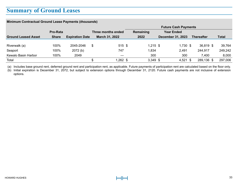#### **Summary of Ground Leases**

| Minimum Contractual Ground Lease Payments (thousands) |              |                        |   |                       |  |                             |                          |            |  |                   |  |              |
|-------------------------------------------------------|--------------|------------------------|---|-----------------------|--|-----------------------------|--------------------------|------------|--|-------------------|--|--------------|
|                                                       |              |                        |   |                       |  | <b>Future Cash Payments</b> |                          |            |  |                   |  |              |
|                                                       | Pro-Rata     |                        |   | Three months ended    |  | Remaining                   | <b>Year Ended</b>        |            |  |                   |  |              |
| <b>Ground Leased Asset</b>                            | <b>Share</b> | <b>Expiration Date</b> |   | <b>March 31, 2022</b> |  | 2022                        | <b>December 31, 2023</b> |            |  | <b>Thereafter</b> |  | <b>Total</b> |
|                                                       |              |                        |   |                       |  |                             |                          |            |  |                   |  |              |
| Riverwalk (a)                                         | 100%         | 2045-2046              | S | 515S                  |  | $1.215$ \$                  |                          | $1.730$ \$ |  | $36,819$ \$       |  | 39,764       |
| Seaport                                               | 100%         | 2072(b)                |   | 747                   |  | 1.834                       |                          | 2.491      |  | 244.917           |  | 249,242      |
| Kewalo Basin Harbor                                   | 100%         | 2049                   |   |                       |  | 300                         |                          | 300        |  | 7.400             |  | 8,000        |
| Total                                                 |              |                        |   | 1,262 \$              |  | $3,349$ \$                  |                          | $4,521$ \$ |  | 289,136 \$        |  | 297,006      |

(a) Includes base ground rent, deferred ground rent and participation rent, as applicable. Future payments of participation rent are calculated based on the floor only.

(b) Initial expiration is December 31, 2072, but subject to extension options through December 31, 2120. Future cash payments are not inclusive of extension options.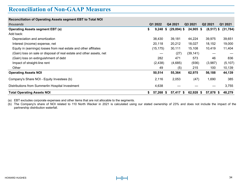#### **Reconciliation of Non-GAAP Measures**

| <b>Reconciliation of Operating Assets segment EBT to Total NOI</b>   |    |           |         |                |           |                     |           |
|----------------------------------------------------------------------|----|-----------|---------|----------------|-----------|---------------------|-----------|
| thousands                                                            |    | Q1 2022   | Q4 2021 |                | Q3 2021   | Q <sub>2</sub> 2021 | Q1 2021   |
| <b>Operating Assets segment EBT (a)</b>                              | \$ | 9,248     | -S      | $(29, 894)$ \$ | 24,905 \$ | $(8,517)$ \$        | (31, 784) |
| Add back:                                                            |    |           |         |                |           |                     |           |
| Depreciation and amortization                                        |    | 38,430    |         | 39,181         | 44,224    | 39,975              | 39,651    |
| Interest (income) expense, net                                       |    | 20,118    |         | 20,212         | 18,027    | 18,152              | 19,000    |
| Equity in (earnings) losses from real estate and other affiliates    |    | (15, 175) |         | 30,111         | 15,108    | 10,419              | 11,404    |
| (Gain) loss on sale or disposal of real estate and other assets, net |    |           |         | (27)           | (39, 141) |                     |           |
| (Gain) loss on extinguishment of debt                                |    | 282       |         | 471            | 573       | 46                  | 836       |
| Impact of straight-line rent                                         |    | (2, 438)  |         | (4,685)        | (936)     | (3,987)             | (5, 107)  |
| Other                                                                |    | 49        |         | (5)            | 215       | 100                 | 10,139    |
| <b>Operating Assets NOI</b>                                          |    | 50,514    |         | 55,364         | 62,975    | 56,188              | 44,139    |
| Company's Share NOI - Equity Investees (b)                           |    | 2,116     |         | 2,053          | (47)      | 1,690               | 385       |
| Distributions from Summerlin Hospital Investment                     |    | 4,638     |         |                |           |                     | 3,755     |
| <b>Total Operating Assets NOI</b>                                    | S. | 57,268 \$ |         | 57,417 \$      | 62,928 \$ | 57,878 \$           | 48,279    |

(a) EBT excludes corporate expenses and other items that are not allocable to the segments.

(b) The Company's share of NOI related to 110 North Wacker in 2021 is calculated using our stated ownership of 23% and does not include the impact of the partnership distribution waterfall.

**Reconciliation of Non-GAAP Measures**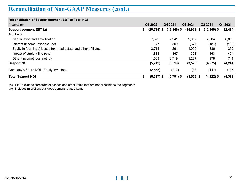## **Reconciliation of Non-GAAP Measures (cont.)**

| <b>Reconciliation of Seaport segment EBT to Total NOI</b>         |     |                |                |               |               |           |
|-------------------------------------------------------------------|-----|----------------|----------------|---------------|---------------|-----------|
| thousands                                                         |     | Q1 2022        | Q4 2021        | Q3 2021       | Q2 2021       | Q1 2021   |
| Seaport segment EBT (a)                                           | \$. | $(20, 714)$ \$ | $(18, 146)$ \$ | $(14,929)$ \$ | $(12,869)$ \$ | (12, 474) |
| Add back:                                                         |     |                |                |               |               |           |
| Depreciation and amortization                                     |     | 7,823          | 7,941          | 9,087         | 7,004         | 6,835     |
| Interest (income) expense, net                                    |     | 47             | 309            | (377)         | (187)         | (102)     |
| Equity in (earnings) losses from real estate and other affiliates |     | 3,711          | 291            | 1.009         | 336           | 352       |
| Impact of straight-line rent                                      |     | 1,888          | 367            | 398           | 463           | 404       |
| Other (income) loss, net (b)                                      |     | 1.503          | 3,719          | 1.287         | 978           | 741       |
| <b>Seaport NOI</b>                                                |     | (5, 742)       | (5, 519)       | (3, 525)      | (4, 275)      | (4, 244)  |
| Company's Share NOI - Equity Investees                            |     | (2,575)        | (272)          | (38)          | (147)         | (135)     |
| <b>Total Seaport NOI</b>                                          | \$  | $(8,317)$ \$   | $(5,791)$ \$   | $(3,563)$ \$  | $(4, 422)$ \$ | (4, 379)  |

(a) EBT excludes corporate expenses and other items that are not allocable to the segments.

(b) Includes miscellaneous development-related items.

**Reconciliation of Non-GAAP Measures**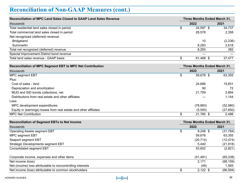# **Reconciliation of Non-GAAP Measures (cont.)**

| <b>Reconciliation of MPC Land Sales Closed to GAAP Land Sales Revenue</b> | <b>Three Months Ended March 31.</b> |          |  |
|---------------------------------------------------------------------------|-------------------------------------|----------|--|
| thousands                                                                 | 2022                                | 2021     |  |
| Total residential land sales closed in period                             | 24.597 \$                           | 34.737   |  |
| Total commercial land sales closed in period                              | 28.578                              | 2,358    |  |
| Net recognized (deferred) revenue:                                        |                                     |          |  |
| <b>Bridgeland</b>                                                         | 10                                  | (2, 236) |  |
| Summerlin                                                                 | 8.283                               | 2,618    |  |
| Total net recognized (deferred) revenue                                   | 8.293                               | 382      |  |
| Special Improvement District bond revenue                                 |                                     |          |  |
| Total land sales revenue - GAAP basis                                     | 61.468 \$                           | 37,477   |  |
|                                                                           |                                     |          |  |

| Reconciliation of MPC Segment EBT to MPC Net Contribution         | Three Months Ended March 31, |          |
|-------------------------------------------------------------------|------------------------------|----------|
| thousands                                                         | 2022                         | 2021     |
| MPC segment EBT                                                   | 59.678 \$                    | 63,355   |
| Plus:                                                             |                              |          |
| Cost of sales - land                                              | 24.686                       | 15.651   |
| Depreciation and amortization                                     | 90                           | 72       |
| MUD and SID bonds collections, net                                | 21.759                       | 2,894    |
| Distributions from real estate and other affiliates               |                              | 1,144    |
| Less:                                                             |                              |          |
| MPC development expenditures                                      | (78, 883)                    | (52,980) |
| Equity in (earnings) losses from real estate and other affiliates | (5,550)                      | (27,650) |
| <b>MPC Net Contribution</b>                                       | 21.780 \$                    | 2.486    |

| <b>Reconciliation of Segment EBTs to Net Income</b>        |  | <b>Three Months Ended March 31,</b> |           |  |
|------------------------------------------------------------|--|-------------------------------------|-----------|--|
| thousands                                                  |  | 2022                                | 2021      |  |
| Operating Assets segment EBT                               |  | $9,248$ \$                          | (31, 784) |  |
| MPC segment EBT                                            |  | 59.678                              | 63,355    |  |
| Seaport segment EBT                                        |  | (20, 714)                           | (12, 474) |  |
| Strategic Developments segment EBT                         |  | 5,440                               | (21, 918) |  |
| Consolidated segment EBT                                   |  | 53,652                              | (2,821)   |  |
| Corporate income, expenses and other items                 |  | (51, 481)                           | (65, 338) |  |
| Net income (loss)                                          |  | 2.171                               | (68, 159) |  |
| Net (income) loss attributable to noncontrolling interests |  | (49)                                | 1,565     |  |
| Net income (loss) attributable to common stockholders      |  | $2,122$ \$                          | (66, 594) |  |